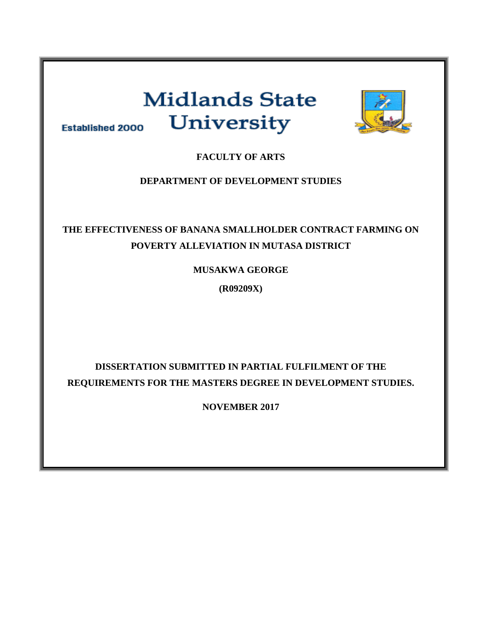# **Midlands State** University **Established 2000**



**FACULTY OF ARTS**

# **DEPARTMENT OF DEVELOPMENT STUDIES**

# **THE EFFECTIVENESS OF BANANA SMALLHOLDER CONTRACT FARMING ON POVERTY ALLEVIATION IN MUTASA DISTRICT**

**MUSAKWA GEORGE**

**(R09209X)**

# **DISSERTATION SUBMITTED IN PARTIAL FULFILMENT OF THE REQUIREMENTS FOR THE MASTERS DEGREE IN DEVELOPMENT STUDIES.**

**NOVEMBER 2017**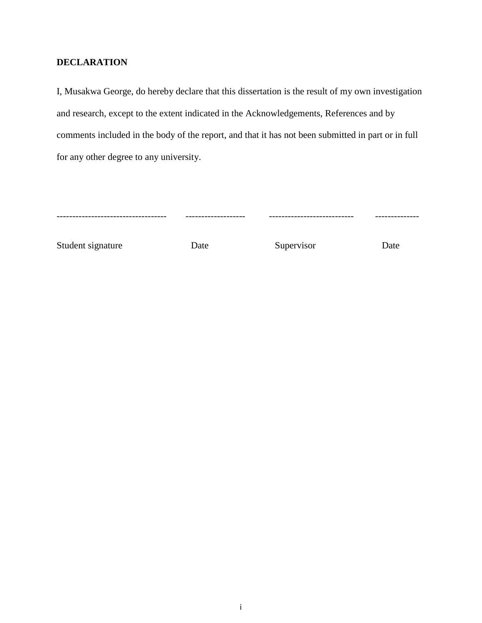# <span id="page-1-0"></span>**DECLARATION**

I, Musakwa George, do hereby declare that this dissertation is the result of my own investigation and research, except to the extent indicated in the Acknowledgements, References and by comments included in the body of the report, and that it has not been submitted in part or in full for any other degree to any university.

| ------------------------------------- | -------------------- | ---------------------------- | -------------- |
|---------------------------------------|----------------------|------------------------------|----------------|
|                                       |                      |                              |                |

Student signature Date Date Supervisor Date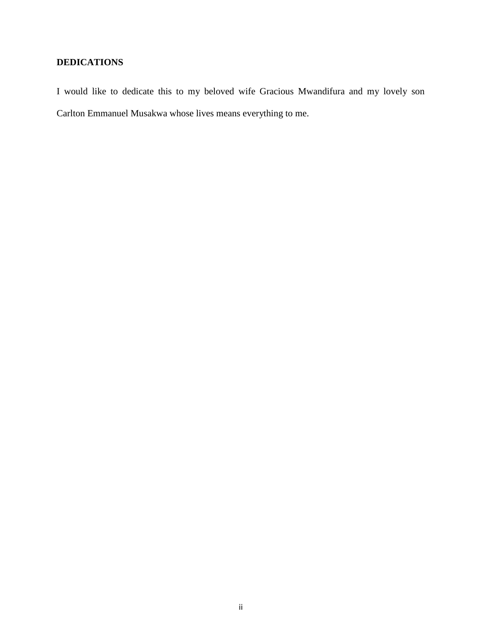# <span id="page-2-0"></span>**DEDICATIONS**

I would like to dedicate this to my beloved wife Gracious Mwandifura and my lovely son Carlton Emmanuel Musakwa whose lives means everything to me.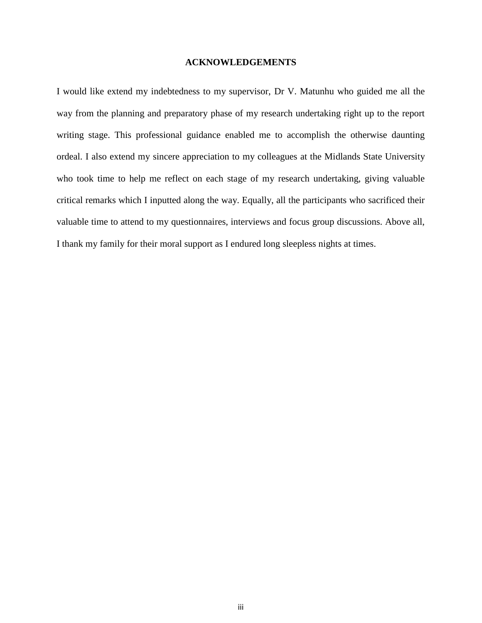### **ACKNOWLEDGEMENTS**

<span id="page-3-1"></span><span id="page-3-0"></span>I would like extend my indebtedness to my supervisor, Dr V. Matunhu who guided me all the way from the planning and preparatory phase of my research undertaking right up to the report writing stage. This professional guidance enabled me to accomplish the otherwise daunting ordeal. I also extend my sincere appreciation to my colleagues at the Midlands State University who took time to help me reflect on each stage of my research undertaking, giving valuable critical remarks which I inputted along the way. Equally, all the participants who sacrificed their valuable time to attend to my questionnaires, interviews and focus group discussions. Above all, I thank my family for their moral support as I endured long sleepless nights at times.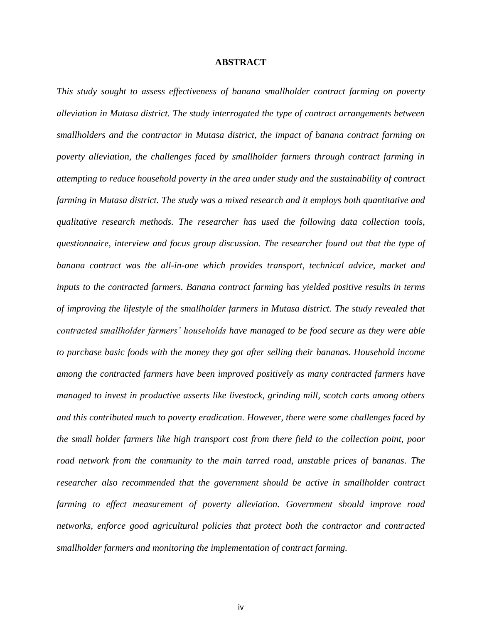#### **ABSTRACT**

*This study sought to assess effectiveness of banana smallholder contract farming on poverty alleviation in Mutasa district. The study interrogated the type of contract arrangements between smallholders and the contractor in Mutasa district, the impact of banana contract farming on poverty alleviation, the challenges faced by smallholder farmers through contract farming in attempting to reduce household poverty in the area under study and the sustainability of contract farming in Mutasa district. The study was a mixed research and it employs both quantitative and qualitative research methods. The researcher has used the following data collection tools, questionnaire, interview and focus group discussion. The researcher found out that the type of banana contract was the all-in-one which provides transport, technical advice, market and inputs to the contracted farmers. Banana contract farming has yielded positive results in terms of improving the lifestyle of the smallholder farmers in Mutasa district. The study revealed that contracted smallholder farmers' households have managed to be food secure as they were able to purchase basic foods with the money they got after selling their bananas. Household income among the contracted farmers have been improved positively as many contracted farmers have managed to invest in productive asserts like livestock, grinding mill, scotch carts among others and this contributed much to poverty eradication. However, there were some challenges faced by the small holder farmers like high transport cost from there field to the collection point, poor road network from the community to the main tarred road, unstable prices of bananas. The researcher also recommended that the government should be active in smallholder contract farming to effect measurement of poverty alleviation. Government should improve road networks, enforce good agricultural policies that protect both the contractor and contracted smallholder farmers and monitoring the implementation of contract farming.*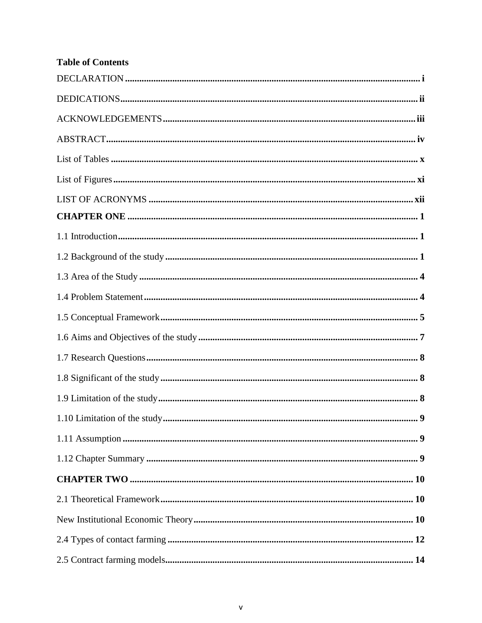# **Table of Contents**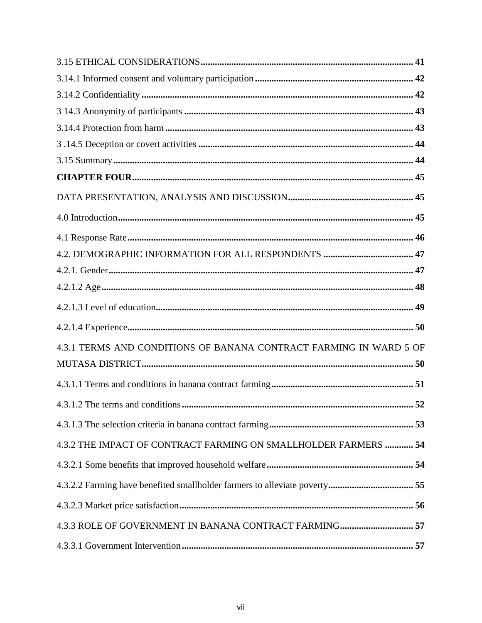| 4.3.1 TERMS AND CONDITIONS OF BANANA CONTRACT FARMING IN WARD 5 OF |
|--------------------------------------------------------------------|
|                                                                    |
|                                                                    |
|                                                                    |
|                                                                    |
| 4.3.2 THE IMPACT OF CONTRACT FARMING ON SMALLHOLDER FARMERS  54    |
|                                                                    |
|                                                                    |
|                                                                    |
| 4.3.3 ROLE OF GOVERNMENT IN BANANA CONTRACT FARMING 57             |
|                                                                    |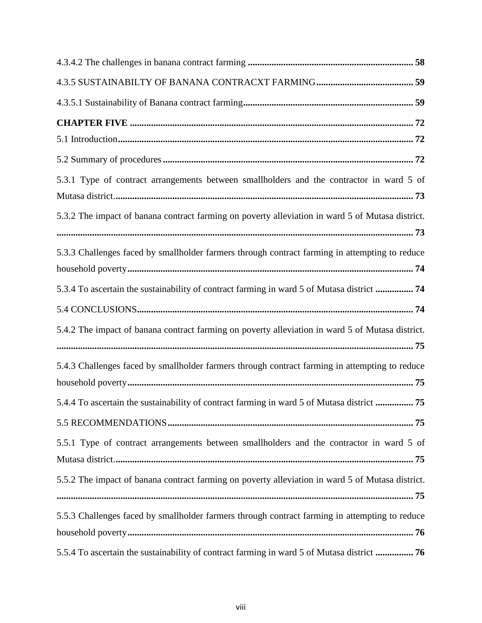| 5.3.1 Type of contract arrangements between smallholders and the contractor in ward 5 of         |
|--------------------------------------------------------------------------------------------------|
| 5.3.2 The impact of banana contract farming on poverty alleviation in ward 5 of Mutasa district. |
| 5.3.3 Challenges faced by smallholder farmers through contract farming in attempting to reduce   |
| 5.3.4 To ascertain the sustainability of contract farming in ward 5 of Mutasa district  74       |
|                                                                                                  |
| 5.4.2 The impact of banana contract farming on poverty alleviation in ward 5 of Mutasa district. |
| 5.4.3 Challenges faced by smallholder farmers through contract farming in attempting to reduce   |
| 5.4.4 To ascertain the sustainability of contract farming in ward 5 of Mutasa district  75       |
|                                                                                                  |
| 5.5.1 Type of contract arrangements between smallholders and the contractor in ward 5 of         |
| 5.5.2 The impact of banana contract farming on poverty alleviation in ward 5 of Mutasa district. |
| 5.5.3 Challenges faced by smallholder farmers through contract farming in attempting to reduce   |
| 5.5.4 To ascertain the sustainability of contract farming in ward 5 of Mutasa district  76       |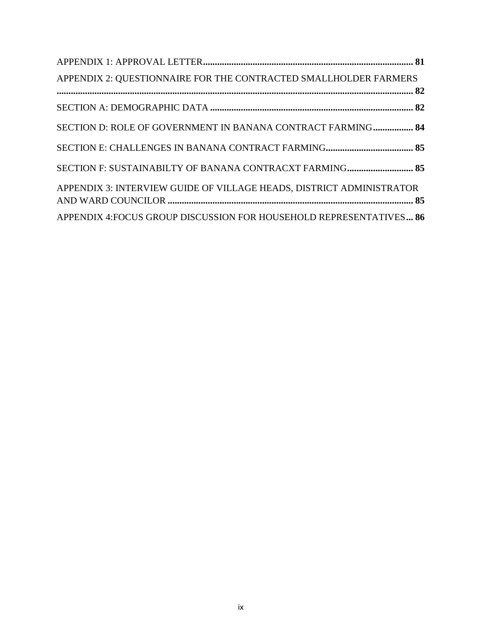<span id="page-9-0"></span>

| APPENDIX 2: QUESTIONNAIRE FOR THE CONTRACTED SMALLHOLDER FARMERS     |  |
|----------------------------------------------------------------------|--|
|                                                                      |  |
|                                                                      |  |
| SECTION D: ROLE OF GOVERNMENT IN BANANA CONTRACT FARMING 84          |  |
|                                                                      |  |
| SECTION F: SUSTAINABILTY OF BANANA CONTRACXT FARMING 85              |  |
| APPENDIX 3: INTERVIEW GUIDE OF VILLAGE HEADS, DISTRICT ADMINISTRATOR |  |
| APPENDIX 4: FOCUS GROUP DISCUSSION FOR HOUSEHOLD REPRESENTATIVES 86  |  |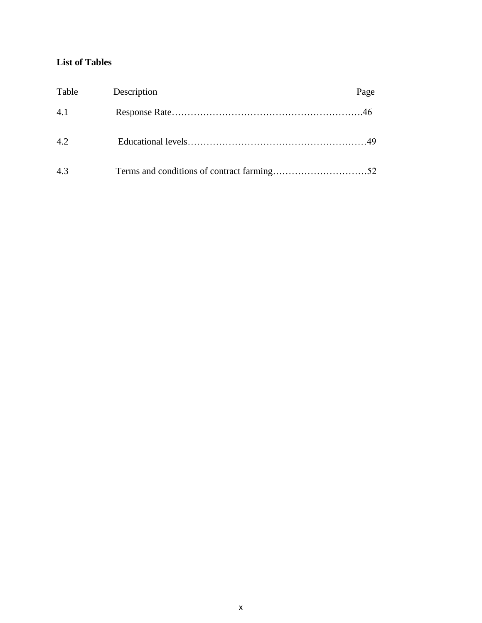# **List of Tables**

<span id="page-10-0"></span>

| Table | Description | Page |
|-------|-------------|------|
| 4.1   |             |      |
| 4.2   |             |      |
| 4.3   |             |      |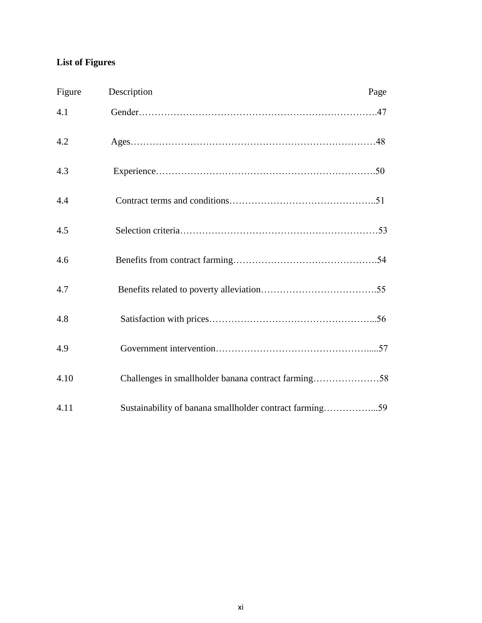# **List of Figures**

| Figure | Description                                             | Page |
|--------|---------------------------------------------------------|------|
| 4.1    |                                                         |      |
| 4.2    |                                                         |      |
| 4.3    |                                                         |      |
| 4.4    |                                                         |      |
| 4.5    |                                                         |      |
| 4.6    |                                                         |      |
| 4.7    |                                                         |      |
| 4.8    |                                                         |      |
| 4.9    |                                                         |      |
| 4.10   | Challenges in smallholder banana contract farming58     |      |
| 4.11   | Sustainability of banana smallholder contract farming59 |      |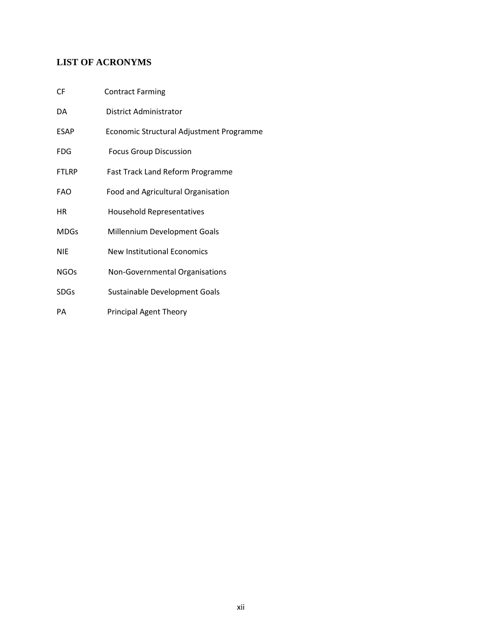# <span id="page-12-0"></span>**LIST OF ACRONYMS**

| DA          | District Administrator                   |
|-------------|------------------------------------------|
| ESAP        | Economic Structural Adjustment Programme |
| <b>FDG</b>  | <b>Focus Group Discussion</b>            |
| FTLRP       | <b>Fast Track Land Reform Programme</b>  |
| FAO         | Food and Agricultural Organisation       |
| HR.         | <b>Household Representatives</b>         |
| <b>MDGs</b> | Millennium Development Goals             |
| <b>NIE</b>  | <b>New Institutional Economics</b>       |
| <b>NGOs</b> | Non-Governmental Organisations           |
| <b>SDGs</b> | Sustainable Development Goals            |
| PА          | <b>Principal Agent Theory</b>            |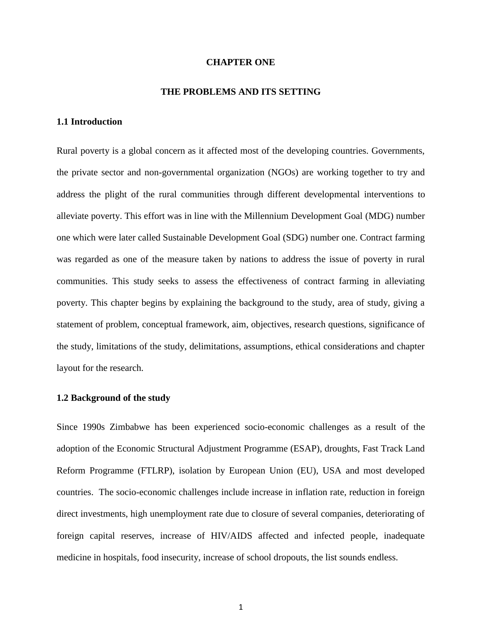#### **CHAPTER ONE**

#### **THE PROBLEMS AND ITS SETTING**

# <span id="page-13-1"></span><span id="page-13-0"></span>**1.1 Introduction**

Rural poverty is a global concern as it affected most of the developing countries. Governments, the private sector and non-governmental organization (NGOs) are working together to try and address the plight of the rural communities through different developmental interventions to alleviate poverty. This effort was in line with the Millennium Development Goal (MDG) number one which were later called Sustainable Development Goal (SDG) number one. Contract farming was regarded as one of the measure taken by nations to address the issue of poverty in rural communities. This study seeks to assess the effectiveness of contract farming in alleviating poverty. This chapter begins by explaining the background to the study, area of study, giving a statement of problem, conceptual framework, aim, objectives, research questions, significance of the study, limitations of the study, delimitations, assumptions, ethical considerations and chapter layout for the research.

#### <span id="page-13-2"></span>**1.2 Background of the study**

Since 1990s Zimbabwe has been experienced socio-economic challenges as a result of the adoption of the Economic Structural Adjustment Programme (ESAP), droughts, Fast Track Land Reform Programme (FTLRP), isolation by European Union (EU), USA and most developed countries. The socio-economic challenges include increase in inflation rate, reduction in foreign direct investments, high unemployment rate due to closure of several companies, deteriorating of foreign capital reserves, increase of HIV/AIDS affected and infected people, inadequate medicine in hospitals, food insecurity, increase of school dropouts, the list sounds endless.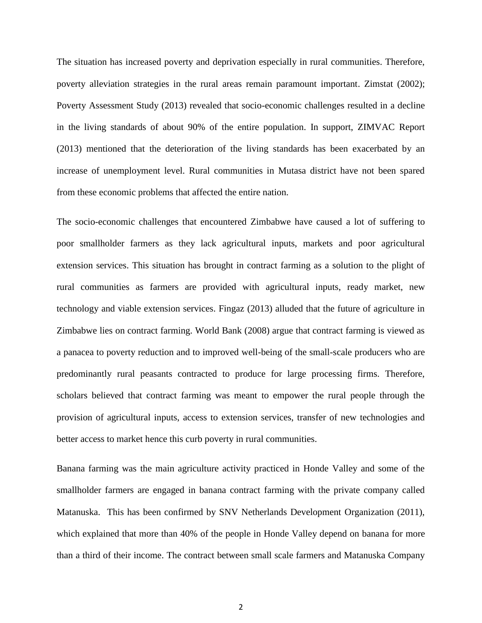The situation has increased poverty and deprivation especially in rural communities. Therefore, poverty alleviation strategies in the rural areas remain paramount important. Zimstat (2002); Poverty Assessment Study (2013) revealed that socio-economic challenges resulted in a decline in the living standards of about 90% of the entire population. In support, ZIMVAC Report (2013) mentioned that the deterioration of the living standards has been exacerbated by an increase of unemployment level. Rural communities in Mutasa district have not been spared from these economic problems that affected the entire nation.

The socio-economic challenges that encountered Zimbabwe have caused a lot of suffering to poor smallholder farmers as they lack agricultural inputs, markets and poor agricultural extension services. This situation has brought in contract farming as a solution to the plight of rural communities as farmers are provided with agricultural inputs, ready market, new technology and viable extension services. Fingaz (2013) alluded that the future of agriculture in Zimbabwe lies on contract farming. World Bank (2008) argue that contract farming is viewed as a panacea to poverty reduction and to improved well-being of the small-scale producers who are predominantly rural peasants contracted to produce for large processing firms. Therefore, scholars believed that contract farming was meant to empower the rural people through the provision of agricultural inputs, access to extension services, transfer of new technologies and better access to market hence this curb poverty in rural communities.

Banana farming was the main agriculture activity practiced in Honde Valley and some of the smallholder farmers are engaged in banana contract farming with the private company called Matanuska. This has been confirmed by SNV Netherlands Development Organization (2011), which explained that more than 40% of the people in Honde Valley depend on banana for more than a third of their income. The contract between small scale farmers and Matanuska Company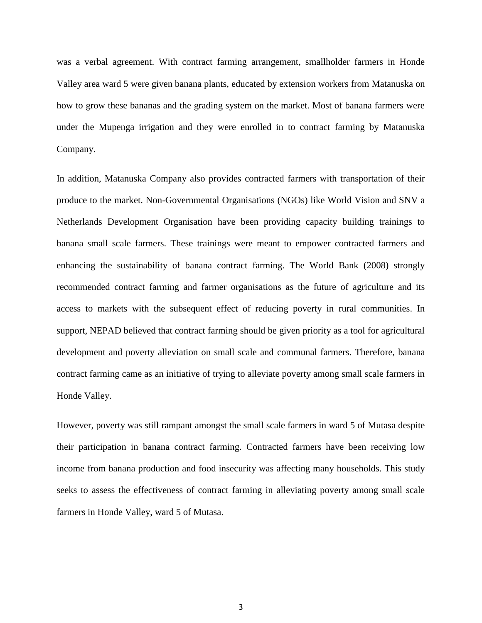was a verbal agreement. With contract farming arrangement, smallholder farmers in Honde Valley area ward 5 were given banana plants, educated by extension workers from Matanuska on how to grow these bananas and the grading system on the market. Most of banana farmers were under the Mupenga irrigation and they were enrolled in to contract farming by Matanuska Company.

In addition, Matanuska Company also provides contracted farmers with transportation of their produce to the market. Non-Governmental Organisations (NGOs) like World Vision and SNV a Netherlands Development Organisation have been providing capacity building trainings to banana small scale farmers. These trainings were meant to empower contracted farmers and enhancing the sustainability of banana contract farming. The World Bank (2008) strongly recommended contract farming and farmer organisations as the future of agriculture and its access to markets with the subsequent effect of reducing poverty in rural communities. In support, NEPAD believed that contract farming should be given priority as a tool for agricultural development and poverty alleviation on small scale and communal farmers. Therefore, banana contract farming came as an initiative of trying to alleviate poverty among small scale farmers in Honde Valley.

However, poverty was still rampant amongst the small scale farmers in ward 5 of Mutasa despite their participation in banana contract farming. Contracted farmers have been receiving low income from banana production and food insecurity was affecting many households. This study seeks to assess the effectiveness of contract farming in alleviating poverty among small scale farmers in Honde Valley, ward 5 of Mutasa.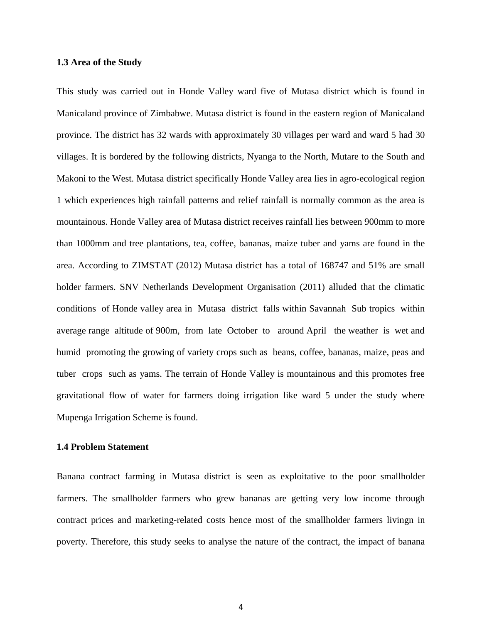#### <span id="page-16-0"></span>**1.3 Area of the Study**

This study was carried out in Honde Valley ward five of Mutasa district which is found in Manicaland province of Zimbabwe. Mutasa district is found in the eastern region of Manicaland province. The district has 32 wards with approximately 30 villages per ward and ward 5 had 30 villages. It is bordered by the following districts, Nyanga to the North, Mutare to the South and Makoni to the West. Mutasa district specifically Honde Valley area lies in agro-ecological region 1 which experiences high rainfall patterns and relief rainfall is normally common as the area is mountainous. Honde Valley area of Mutasa district receives rainfall lies between 900mm to more than 1000mm and tree plantations, tea, coffee, bananas, maize tuber and yams are found in the area. According to ZIMSTAT (2012) Mutasa district has a total of 168747 and 51% are small holder farmers. SNV Netherlands Development Organisation (2011) alluded that the climatic conditions of Honde valley area in Mutasa district falls within Savannah Sub tropics within average range altitude of 900m, from late October to around April the weather is wet and humid promoting the growing of variety crops such as beans, coffee, bananas, maize, peas and tuber crops such as yams. The terrain of Honde Valley is mountainous and this promotes free gravitational flow of water for farmers doing irrigation like ward 5 under the study where Mupenga Irrigation Scheme is found.

#### <span id="page-16-1"></span>**1.4 Problem Statement**

Banana contract farming in Mutasa district is seen as exploitative to the poor smallholder farmers. The smallholder farmers who grew bananas are getting very low income through contract prices and marketing-related costs hence most of the smallholder farmers livingn in poverty. Therefore, this study seeks to analyse the nature of the contract, the impact of banana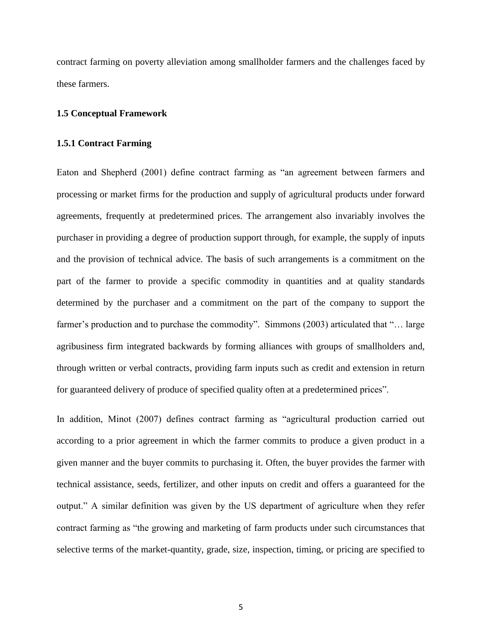contract farming on poverty alleviation among smallholder farmers and the challenges faced by these farmers.

#### <span id="page-17-0"></span>**1.5 Conceptual Framework**

#### **1.5.1 Contract Farming**

Eaton and Shepherd (2001) define contract farming as "an agreement between farmers and processing or market firms for the production and supply of agricultural products under forward agreements, frequently at predetermined prices. The arrangement also invariably involves the purchaser in providing a degree of production support through, for example, the supply of inputs and the provision of technical advice. The basis of such arrangements is a commitment on the part of the farmer to provide a specific commodity in quantities and at quality standards determined by the purchaser and a commitment on the part of the company to support the farmer's production and to purchase the commodity". Simmons (2003) articulated that "... large agribusiness firm integrated backwards by forming alliances with groups of smallholders and, through written or verbal contracts, providing farm inputs such as credit and extension in return for guaranteed delivery of produce of specified quality often at a predetermined prices".

In addition, Minot (2007) defines contract farming as "agricultural production carried out according to a prior agreement in which the farmer commits to produce a given product in a given manner and the buyer commits to purchasing it. Often, the buyer provides the farmer with technical assistance, seeds, fertilizer, and other inputs on credit and offers a guaranteed for the output." A similar definition was given by the US department of agriculture when they refer contract farming as "the growing and marketing of farm products under such circumstances that selective terms of the market-quantity, grade, size, inspection, timing, or pricing are specified to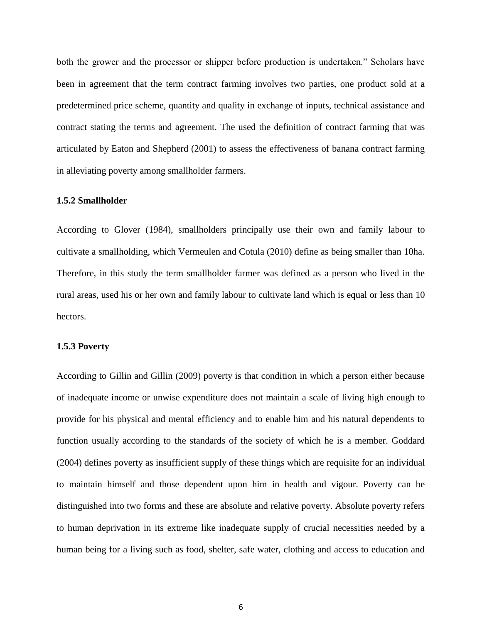both the grower and the processor or shipper before production is undertaken." Scholars have been in agreement that the term contract farming involves two parties, one product sold at a predetermined price scheme, quantity and quality in exchange of inputs, technical assistance and contract stating the terms and agreement. The used the definition of contract farming that was articulated by Eaton and Shepherd (2001) to assess the effectiveness of banana contract farming in alleviating poverty among smallholder farmers.

### **1.5.2 Smallholder**

According to Glover (1984), smallholders principally use their own and family labour to cultivate a smallholding, which Vermeulen and Cotula (2010) define as being smaller than 10ha. Therefore, in this study the term smallholder farmer was defined as a person who lived in the rural areas, used his or her own and family labour to cultivate land which is equal or less than 10 hectors.

#### **1.5.3 Poverty**

According to Gillin and Gillin (2009) poverty is that condition in which a person either because of inadequate income or unwise expenditure does not maintain a scale of living high enough to provide for his physical and mental efficiency and to enable him and his natural dependents to function usually according to the standards of the society of which he is a member. Goddard (2004) defines poverty as insufficient supply of these things which are requisite for an individual to maintain himself and those dependent upon him in health and vigour. Poverty can be distinguished into two forms and these are absolute and relative poverty. Absolute poverty refers to human deprivation in its extreme like inadequate supply of crucial necessities needed by a human being for a living such as food, shelter, safe water, clothing and access to education and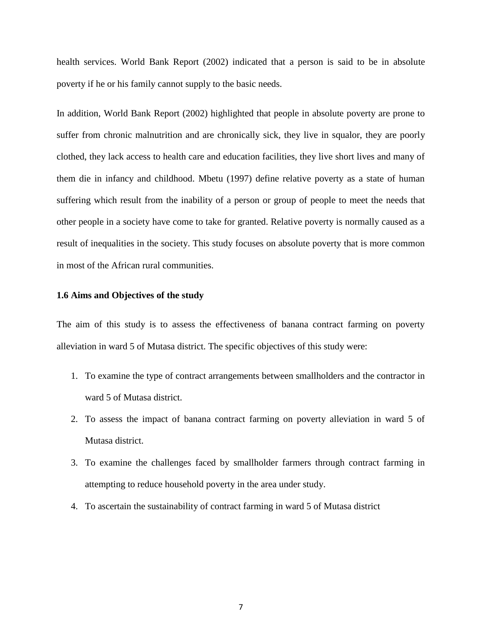health services. World Bank Report (2002) indicated that a person is said to be in absolute poverty if he or his family cannot supply to the basic needs.

In addition, World Bank Report (2002) highlighted that people in absolute poverty are prone to suffer from chronic malnutrition and are chronically sick, they live in squalor, they are poorly clothed, they lack access to health care and education facilities, they live short lives and many of them die in infancy and childhood. Mbetu (1997) define relative poverty as a state of human suffering which result from the inability of a person or group of people to meet the needs that other people in a society have come to take for granted. Relative poverty is normally caused as a result of inequalities in the society. This study focuses on absolute poverty that is more common in most of the African rural communities.

#### <span id="page-19-0"></span>**1.6 Aims and Objectives of the study**

The aim of this study is to assess the effectiveness of banana contract farming on poverty alleviation in ward 5 of Mutasa district. The specific objectives of this study were:

- 1. To examine the type of contract arrangements between smallholders and the contractor in ward 5 of Mutasa district.
- 2. To assess the impact of banana contract farming on poverty alleviation in ward 5 of Mutasa district.
- 3. To examine the challenges faced by smallholder farmers through contract farming in attempting to reduce household poverty in the area under study.
- <span id="page-19-1"></span>4. To ascertain the sustainability of contract farming in ward 5 of Mutasa district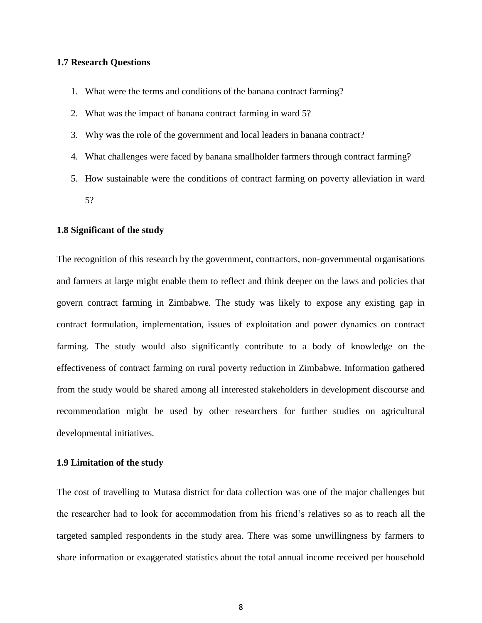# **1.7 Research Questions**

- 1. What were the terms and conditions of the banana contract farming?
- 2. What was the impact of banana contract farming in ward 5?
- 3. Why was the role of the government and local leaders in banana contract?
- 4. What challenges were faced by banana smallholder farmers through contract farming?
- 5. How sustainable were the conditions of contract farming on poverty alleviation in ward 5?

#### <span id="page-20-0"></span>**1.8 Significant of the study**

The recognition of this research by the government, contractors, non-governmental organisations and farmers at large might enable them to reflect and think deeper on the laws and policies that govern contract farming in Zimbabwe. The study was likely to expose any existing gap in contract formulation, implementation, issues of exploitation and power dynamics on contract farming. The study would also significantly contribute to a body of knowledge on the effectiveness of contract farming on rural poverty reduction in Zimbabwe. Information gathered from the study would be shared among all interested stakeholders in development discourse and recommendation might be used by other researchers for further studies on agricultural developmental initiatives.

#### <span id="page-20-1"></span>**1.9 Limitation of the study**

The cost of travelling to Mutasa district for data collection was one of the major challenges but the researcher had to look for accommodation from his friend's relatives so as to reach all the targeted sampled respondents in the study area. There was some unwillingness by farmers to share information or exaggerated statistics about the total annual income received per household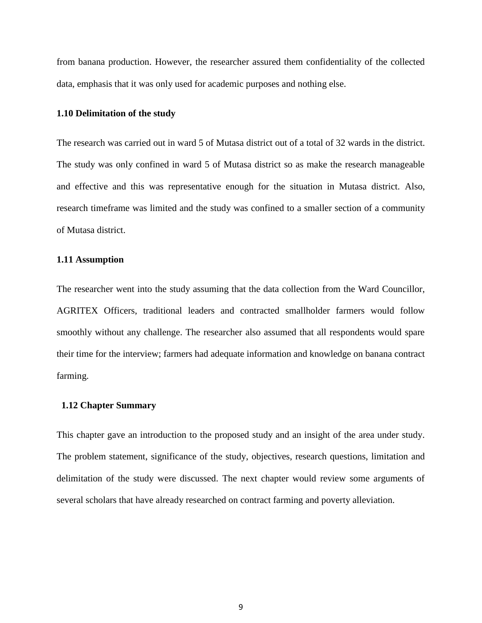from banana production. However, the researcher assured them confidentiality of the collected data, emphasis that it was only used for academic purposes and nothing else.

#### <span id="page-21-0"></span>**1.10 Delimitation of the study**

The research was carried out in ward 5 of Mutasa district out of a total of 32 wards in the district. The study was only confined in ward 5 of Mutasa district so as make the research manageable and effective and this was representative enough for the situation in Mutasa district. Also, research timeframe was limited and the study was confined to a smaller section of a community of Mutasa district.

#### <span id="page-21-1"></span>**1.11 Assumption**

The researcher went into the study assuming that the data collection from the Ward Councillor, AGRITEX Officers, traditional leaders and contracted smallholder farmers would follow smoothly without any challenge. The researcher also assumed that all respondents would spare their time for the interview; farmers had adequate information and knowledge on banana contract farming.

#### <span id="page-21-2"></span> **1.12 Chapter Summary**

<span id="page-21-3"></span>This chapter gave an introduction to the proposed study and an insight of the area under study. The problem statement, significance of the study, objectives, research questions, limitation and delimitation of the study were discussed. The next chapter would review some arguments of several scholars that have already researched on contract farming and poverty alleviation.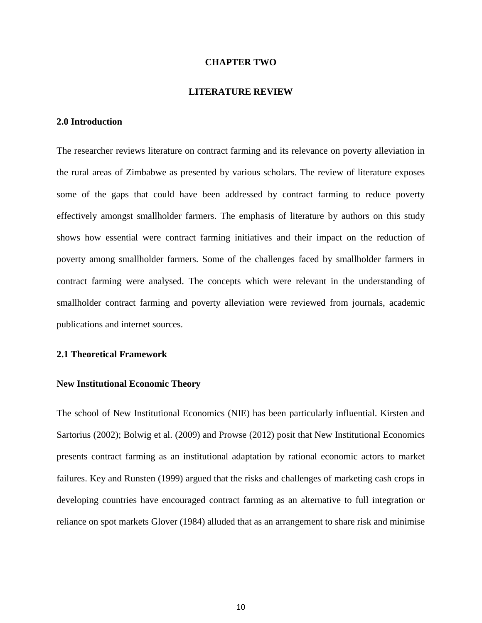#### **CHAPTER TWO**

#### **LITERATURE REVIEW**

## **2.0 Introduction**

The researcher reviews literature on contract farming and its relevance on poverty alleviation in the rural areas of Zimbabwe as presented by various scholars. The review of literature exposes some of the gaps that could have been addressed by contract farming to reduce poverty effectively amongst smallholder farmers. The emphasis of literature by authors on this study shows how essential were contract farming initiatives and their impact on the reduction of poverty among smallholder farmers. Some of the challenges faced by smallholder farmers in contract farming were analysed. The concepts which were relevant in the understanding of smallholder contract farming and poverty alleviation were reviewed from journals, academic publications and internet sources.

#### <span id="page-22-0"></span>**2.1 Theoretical Framework**

#### <span id="page-22-1"></span>**New Institutional Economic Theory**

The school of New Institutional Economics (NIE) has been particularly influential. Kirsten and Sartorius (2002); Bolwig et al. (2009) and Prowse (2012) posit that New Institutional Economics presents contract farming as an institutional adaptation by rational economic actors to market failures. Key and Runsten (1999) argued that the risks and challenges of marketing cash crops in developing countries have encouraged contract farming as an alternative to full integration or reliance on spot markets Glover (1984) alluded that as an arrangement to share risk and minimise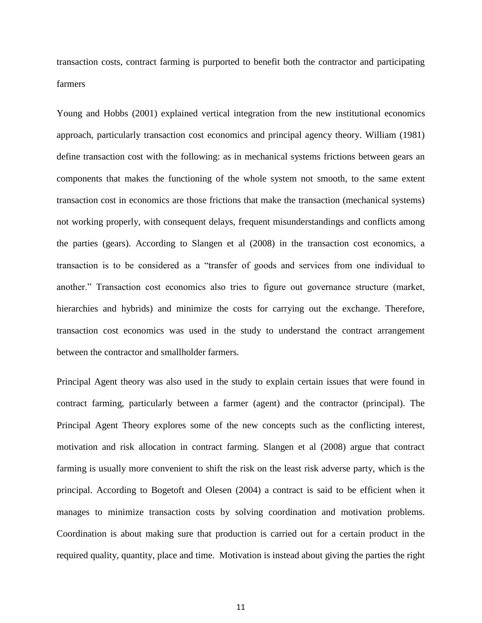transaction costs, contract farming is purported to benefit both the contractor and participating farmers

Young and Hobbs (2001) explained vertical integration from the new institutional economics approach, particularly transaction cost economics and principal agency theory. William (1981) define transaction cost with the following: as in mechanical systems frictions between gears an components that makes the functioning of the whole system not smooth, to the same extent transaction cost in economics are those frictions that make the transaction (mechanical systems) not working properly, with consequent delays, frequent misunderstandings and conflicts among the parties (gears). According to Slangen et al (2008) in the transaction cost economics, a transaction is to be considered as a "transfer of goods and services from one individual to another." Transaction cost economics also tries to figure out governance structure (market, hierarchies and hybrids) and minimize the costs for carrying out the exchange. Therefore, transaction cost economics was used in the study to understand the contract arrangement between the contractor and smallholder farmers.

Principal Agent theory was also used in the study to explain certain issues that were found in contract farming, particularly between a farmer (agent) and the contractor (principal). The Principal Agent Theory explores some of the new concepts such as the conflicting interest, motivation and risk allocation in contract farming. Slangen et al (2008) argue that contract farming is usually more convenient to shift the risk on the least risk adverse party, which is the principal. According to Bogetoft and Olesen (2004) a contract is said to be efficient when it manages to minimize transaction costs by solving coordination and motivation problems. Coordination is about making sure that production is carried out for a certain product in the required quality, quantity, place and time. Motivation is instead about giving the parties the right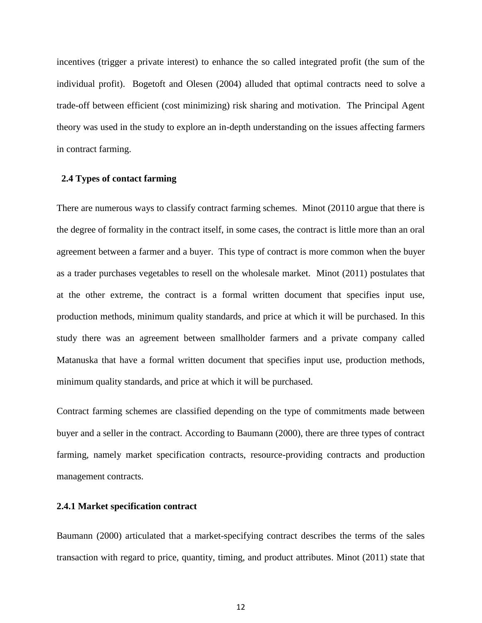incentives (trigger a private interest) to enhance the so called integrated profit (the sum of the individual profit). Bogetoft and Olesen (2004) alluded that optimal contracts need to solve a trade-off between efficient (cost minimizing) risk sharing and motivation. The Principal Agent theory was used in the study to explore an in-depth understanding on the issues affecting farmers in contract farming.

## <span id="page-24-0"></span> **2.4 Types of contact farming**

There are numerous ways to classify contract farming schemes. Minot (20110 argue that there is the degree of formality in the contract itself, in some cases, the contract is little more than an oral agreement between a farmer and a buyer. This type of contract is more common when the buyer as a trader purchases vegetables to resell on the wholesale market. Minot (2011) postulates that at the other extreme, the contract is a formal written document that specifies input use, production methods, minimum quality standards, and price at which it will be purchased. In this study there was an agreement between smallholder farmers and a private company called Matanuska that have a formal written document that specifies input use, production methods, minimum quality standards, and price at which it will be purchased.

Contract farming schemes are classified depending on the type of commitments made between buyer and a seller in the contract. According to Baumann (2000), there are three types of contract farming, namely market specification contracts, resource-providing contracts and production management contracts.

#### **2.4.1 Market specification contract**

Baumann (2000) articulated that a market-specifying contract describes the terms of the sales transaction with regard to price, quantity, timing, and product attributes. Minot (2011) state that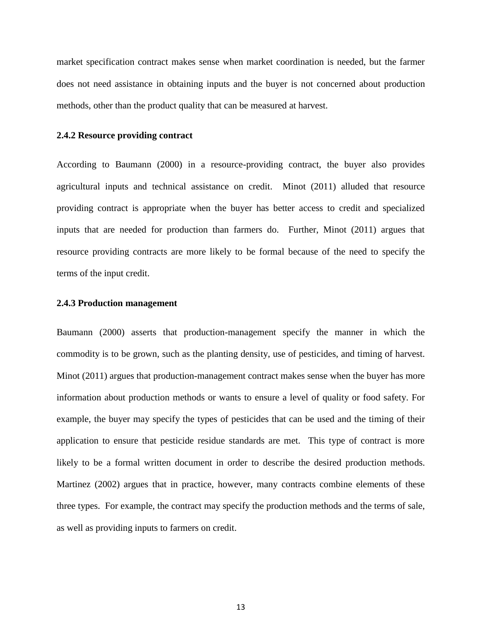market specification contract makes sense when market coordination is needed, but the farmer does not need assistance in obtaining inputs and the buyer is not concerned about production methods, other than the product quality that can be measured at harvest.

#### **2.4.2 Resource providing contract**

According to Baumann (2000) in a resource-providing contract, the buyer also provides agricultural inputs and technical assistance on credit. Minot (2011) alluded that resource providing contract is appropriate when the buyer has better access to credit and specialized inputs that are needed for production than farmers do. Further, Minot (2011) argues that resource providing contracts are more likely to be formal because of the need to specify the terms of the input credit.

#### **2.4.3 Production management**

Baumann (2000) asserts that production-management specify the manner in which the commodity is to be grown, such as the planting density, use of pesticides, and timing of harvest. Minot (2011) argues that production-management contract makes sense when the buyer has more information about production methods or wants to ensure a level of quality or food safety. For example, the buyer may specify the types of pesticides that can be used and the timing of their application to ensure that pesticide residue standards are met. This type of contract is more likely to be a formal written document in order to describe the desired production methods. Martinez (2002) argues that in practice, however, many contracts combine elements of these three types. For example, the contract may specify the production methods and the terms of sale, as well as providing inputs to farmers on credit.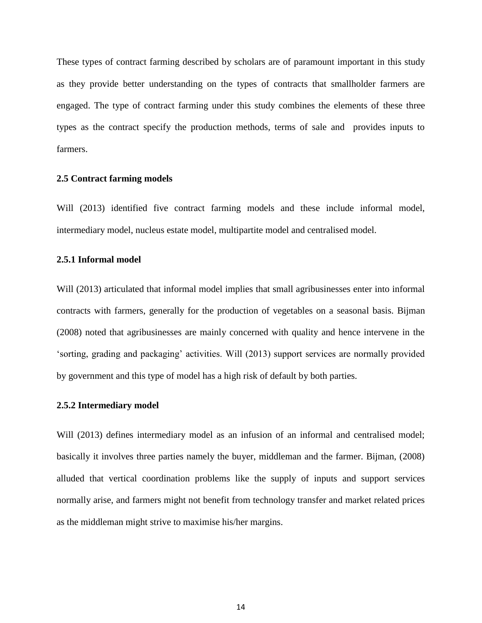These types of contract farming described by scholars are of paramount important in this study as they provide better understanding on the types of contracts that smallholder farmers are engaged. The type of contract farming under this study combines the elements of these three types as the contract specify the production methods, terms of sale and provides inputs to farmers.

#### <span id="page-26-0"></span>**2.5 Contract farming models**

Will (2013) identified five contract farming models and these include informal model, intermediary model, nucleus estate model, multipartite model and centralised model.

# **2.5.1 Informal model**

Will (2013) articulated that informal model implies that small agribusinesses enter into informal contracts with farmers, generally for the production of vegetables on a seasonal basis. Bijman (2008) noted that agribusinesses are mainly concerned with quality and hence intervene in the 'sorting, grading and packaging' activities. Will (2013) support services are normally provided by government and this type of model has a high risk of default by both parties.

#### **2.5.2 Intermediary model**

Will (2013) defines intermediary model as an infusion of an informal and centralised model; basically it involves three parties namely the buyer, middleman and the farmer. Bijman, (2008) alluded that vertical coordination problems like the supply of inputs and support services normally arise, and farmers might not benefit from technology transfer and market related prices as the middleman might strive to maximise his/her margins.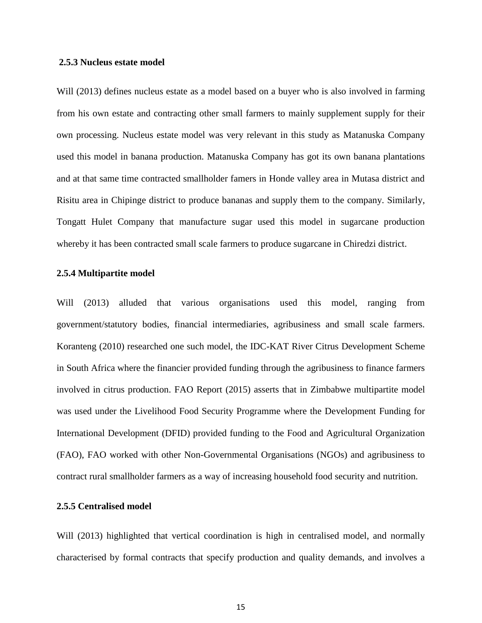#### **2.5.3 Nucleus estate model**

Will (2013) defines nucleus estate as a model based on a buyer who is also involved in farming from his own estate and contracting other small farmers to mainly supplement supply for their own processing. Nucleus estate model was very relevant in this study as Matanuska Company used this model in banana production. Matanuska Company has got its own banana plantations and at that same time contracted smallholder famers in Honde valley area in Mutasa district and Risitu area in Chipinge district to produce bananas and supply them to the company. Similarly, Tongatt Hulet Company that manufacture sugar used this model in sugarcane production whereby it has been contracted small scale farmers to produce sugarcane in Chiredzi district.

#### **2.5.4 Multipartite model**

Will (2013) alluded that various organisations used this model, ranging from government/statutory bodies, financial intermediaries, agribusiness and small scale farmers. Koranteng (2010) researched one such model, the IDC-KAT River Citrus Development Scheme in South Africa where the financier provided funding through the agribusiness to finance farmers involved in citrus production. FAO Report (2015) asserts that in Zimbabwe multipartite model was used under the Livelihood Food Security Programme where the Development Funding for International Development (DFID) provided funding to the Food and Agricultural Organization (FAO), FAO worked with other Non-Governmental Organisations (NGOs) and agribusiness to contract rural smallholder farmers as a way of increasing household food security and nutrition.

# **2.5.5 Centralised model**

Will (2013) highlighted that vertical coordination is high in centralised model, and normally characterised by formal contracts that specify production and quality demands, and involves a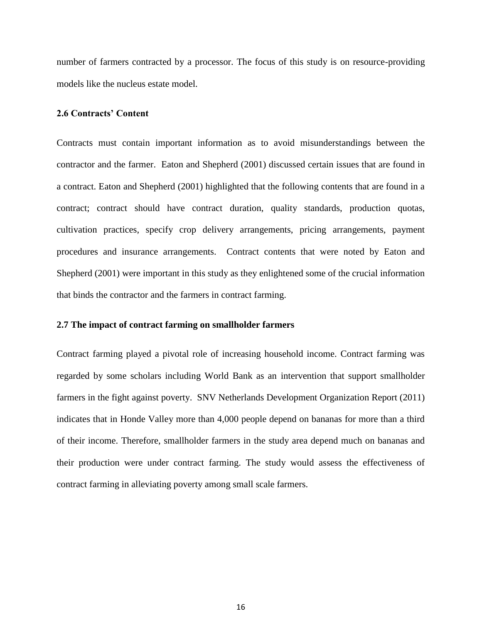number of farmers contracted by a processor. The focus of this study is on resource-providing models like the nucleus estate model.

## <span id="page-28-0"></span>**2.6 Contracts' Content**

Contracts must contain important information as to avoid misunderstandings between the contractor and the farmer. Eaton and Shepherd (2001) discussed certain issues that are found in a contract. Eaton and Shepherd (2001) highlighted that the following contents that are found in a contract; contract should have contract duration, quality standards, production quotas, cultivation practices, specify crop delivery arrangements, pricing arrangements, payment procedures and insurance arrangements. Contract contents that were noted by Eaton and Shepherd (2001) were important in this study as they enlightened some of the crucial information that binds the contractor and the farmers in contract farming.

## **2.7 The impact of contract farming on smallholder farmers**

Contract farming played a pivotal role of increasing household income. Contract farming was regarded by some scholars including World Bank as an intervention that support smallholder farmers in the fight against poverty. SNV Netherlands Development Organization Report (2011) indicates that in Honde Valley more than 4,000 people depend on bananas for more than a third of their income. Therefore, smallholder farmers in the study area depend much on bananas and their production were under contract farming. The study would assess the effectiveness of contract farming in alleviating poverty among small scale farmers.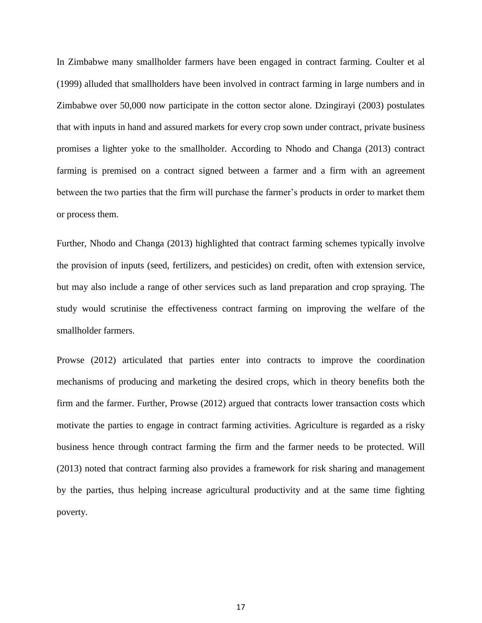In Zimbabwe many smallholder farmers have been engaged in contract farming. Coulter et al (1999) alluded that smallholders have been involved in contract farming in large numbers and in Zimbabwe over 50,000 now participate in the cotton sector alone. Dzingirayi (2003) postulates that with inputs in hand and assured markets for every crop sown under contract, private business promises a lighter yoke to the smallholder. According to Nhodo and Changa (2013) contract farming is premised on a contract signed between a farmer and a firm with an agreement between the two parties that the firm will purchase the farmer's products in order to market them or process them.

Further, Nhodo and Changa (2013) highlighted that contract farming schemes typically involve the provision of inputs (seed, fertilizers, and pesticides) on credit, often with extension service, but may also include a range of other services such as land preparation and crop spraying. The study would scrutinise the effectiveness contract farming on improving the welfare of the smallholder farmers.

Prowse (2012) articulated that parties enter into contracts to improve the coordination mechanisms of producing and marketing the desired crops, which in theory benefits both the firm and the farmer. Further, Prowse (2012) argued that contracts lower transaction costs which motivate the parties to engage in contract farming activities. Agriculture is regarded as a risky business hence through contract farming the firm and the farmer needs to be protected. Will (2013) noted that contract farming also provides a framework for risk sharing and management by the parties, thus helping increase agricultural productivity and at the same time fighting poverty.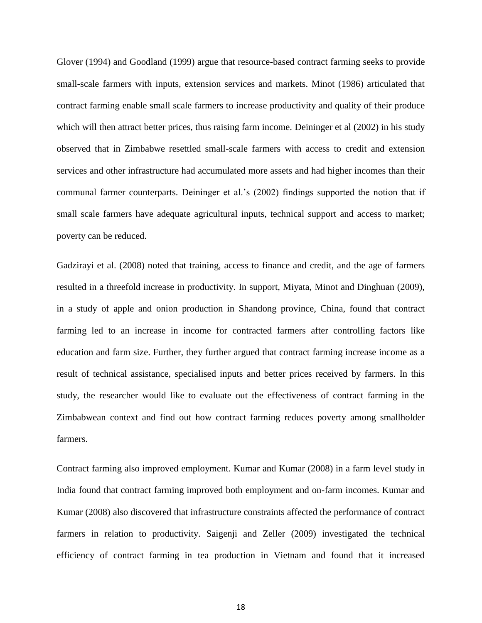Glover (1994) and Goodland (1999) argue that resource-based contract farming seeks to provide small-scale farmers with inputs, extension services and markets. Minot (1986) articulated that contract farming enable small scale farmers to increase productivity and quality of their produce which will then attract better prices, thus raising farm income. Deininger et al (2002) in his study observed that in Zimbabwe resettled small-scale farmers with access to credit and extension services and other infrastructure had accumulated more assets and had higher incomes than their communal farmer counterparts. Deininger et al.'s (2002) findings supported the notion that if small scale farmers have adequate agricultural inputs, technical support and access to market; poverty can be reduced.

Gadzirayi et al. (2008) noted that training, access to finance and credit, and the age of farmers resulted in a threefold increase in productivity. In support, Miyata, Minot and Dinghuan (2009), in a study of apple and onion production in Shandong province, China, found that contract farming led to an increase in income for contracted farmers after controlling factors like education and farm size. Further, they further argued that contract farming increase income as a result of technical assistance, specialised inputs and better prices received by farmers. In this study, the researcher would like to evaluate out the effectiveness of contract farming in the Zimbabwean context and find out how contract farming reduces poverty among smallholder farmers.

Contract farming also improved employment. Kumar and Kumar (2008) in a farm level study in India found that contract farming improved both employment and on-farm incomes. Kumar and Kumar (2008) also discovered that infrastructure constraints affected the performance of contract farmers in relation to productivity. Saigenji and Zeller (2009) investigated the technical efficiency of contract farming in tea production in Vietnam and found that it increased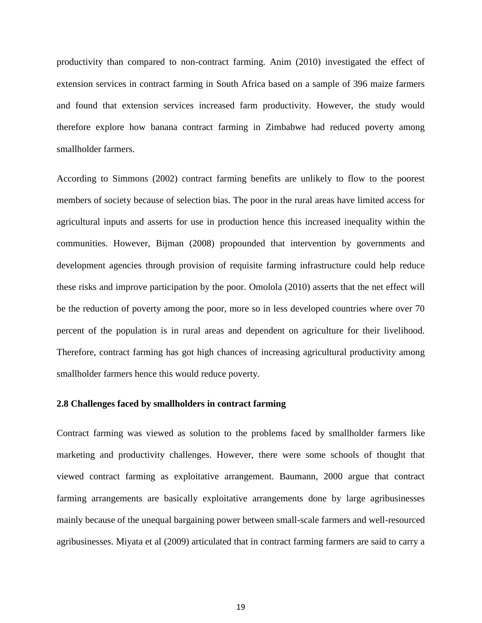productivity than compared to non-contract farming. Anim (2010) investigated the effect of extension services in contract farming in South Africa based on a sample of 396 maize farmers and found that extension services increased farm productivity. However, the study would therefore explore how banana contract farming in Zimbabwe had reduced poverty among smallholder farmers.

According to Simmons (2002) contract farming benefits are unlikely to flow to the poorest members of society because of selection bias. The poor in the rural areas have limited access for agricultural inputs and asserts for use in production hence this increased inequality within the communities. However, Bijman (2008) propounded that intervention by governments and development agencies through provision of requisite farming infrastructure could help reduce these risks and improve participation by the poor. Omolola (2010) asserts that the net effect will be the reduction of poverty among the poor, more so in less developed countries where over 70 percent of the population is in rural areas and dependent on agriculture for their livelihood. Therefore, contract farming has got high chances of increasing agricultural productivity among smallholder farmers hence this would reduce poverty.

### <span id="page-31-0"></span>**2.8 Challenges faced by smallholders in contract farming**

Contract farming was viewed as solution to the problems faced by smallholder farmers like marketing and productivity challenges. However, there were some schools of thought that viewed contract farming as exploitative arrangement. Baumann, 2000 argue that contract farming arrangements are basically exploitative arrangements done by large agribusinesses mainly because of the unequal bargaining power between small-scale farmers and well-resourced agribusinesses. Miyata et al (2009) articulated that in contract farming farmers are said to carry a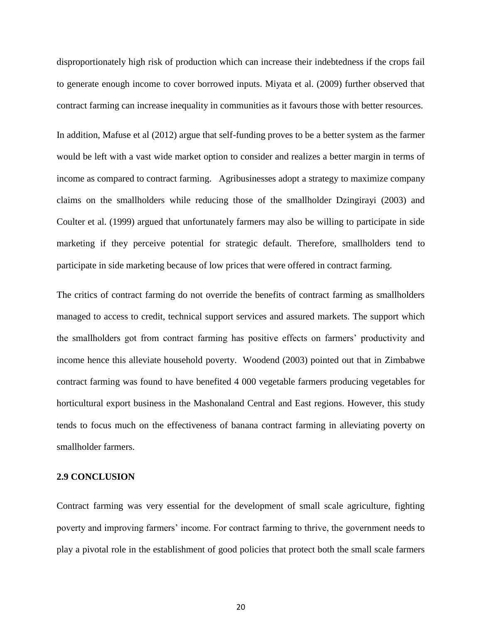disproportionately high risk of production which can increase their indebtedness if the crops fail to generate enough income to cover borrowed inputs. Miyata et al. (2009) further observed that contract farming can increase inequality in communities as it favours those with better resources.

In addition, Mafuse et al (2012) argue that self-funding proves to be a better system as the farmer would be left with a vast wide market option to consider and realizes a better margin in terms of income as compared to contract farming. Agribusinesses adopt a strategy to maximize company claims on the smallholders while reducing those of the smallholder Dzingirayi (2003) and Coulter et al. (1999) argued that unfortunately farmers may also be willing to participate in side marketing if they perceive potential for strategic default. Therefore, smallholders tend to participate in side marketing because of low prices that were offered in contract farming.

The critics of contract farming do not override the benefits of contract farming as smallholders managed to access to credit, technical support services and assured markets. The support which the smallholders got from contract farming has positive effects on farmers' productivity and income hence this alleviate household poverty. Woodend (2003) pointed out that in Zimbabwe contract farming was found to have benefited 4 000 vegetable farmers producing vegetables for horticultural export business in the Mashonaland Central and East regions. However, this study tends to focus much on the effectiveness of banana contract farming in alleviating poverty on smallholder farmers.

# <span id="page-32-0"></span>**2.9 CONCLUSION**

Contract farming was very essential for the development of small scale agriculture, fighting poverty and improving farmers' income. For contract farming to thrive, the government needs to play a pivotal role in the establishment of good policies that protect both the small scale farmers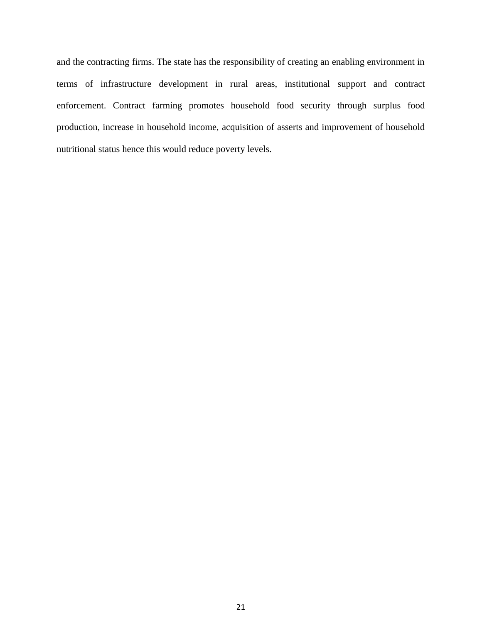and the contracting firms. The state has the responsibility of creating an enabling environment in terms of infrastructure development in rural areas, institutional support and contract enforcement. Contract farming promotes household food security through surplus food production, increase in household income, acquisition of asserts and improvement of household nutritional status hence this would reduce poverty levels.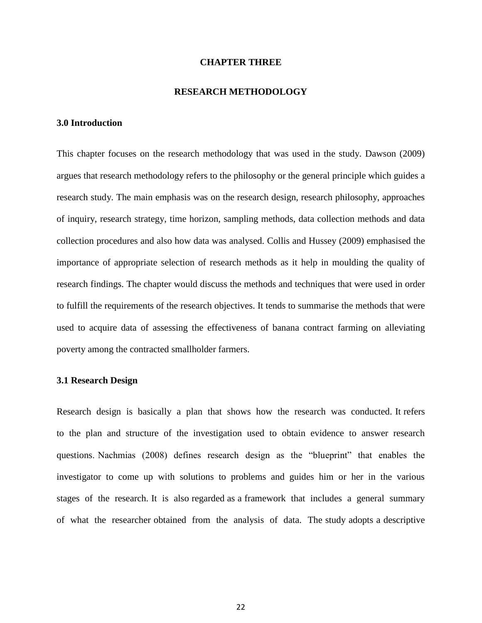#### **CHAPTER THREE**

#### **RESEARCH METHODOLOGY**

## <span id="page-34-1"></span><span id="page-34-0"></span>**3.0 Introduction**

This chapter focuses on the research methodology that was used in the study. Dawson (2009) argues that research methodology refers to the philosophy or the general principle which guides a research study. The main emphasis was on the research design, research philosophy, approaches of inquiry, research strategy, time horizon, sampling methods, data collection methods and data collection procedures and also how data was analysed. Collis and Hussey (2009) emphasised the importance of appropriate selection of research methods as it help in moulding the quality of research findings. The chapter would discuss the methods and techniques that were used in order to fulfill the requirements of the research objectives. It tends to summarise the methods that were used to acquire data of assessing the effectiveness of banana contract farming on alleviating poverty among the contracted smallholder farmers.

#### <span id="page-34-2"></span>**3.1 Research Design**

Research design is basically a plan that shows how the research was conducted. It refers to the plan and structure of the investigation used to obtain evidence to answer research questions. Nachmias (2008) defines research design as the "blueprint" that enables the investigator to come up with solutions to problems and guides him or her in the various stages of the research. It is also regarded as a framework that includes a general summary of what the researcher obtained from the analysis of data. The study adopts a descriptive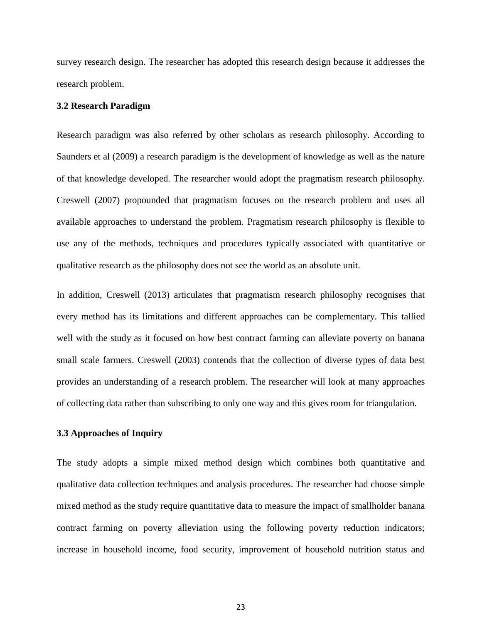survey research design. The researcher has adopted this research design because it addresses the research problem.

#### <span id="page-35-0"></span>**3.2 Research Paradigm**

Research paradigm was also referred by other scholars as research philosophy. According to Saunders et al (2009) a research paradigm is the development of knowledge as well as the nature of that knowledge developed. The researcher would adopt the pragmatism research philosophy. Creswell (2007) propounded that pragmatism focuses on the research problem and uses all available approaches to understand the problem. Pragmatism research philosophy is flexible to use any of the methods, techniques and procedures typically associated with quantitative or qualitative research as the philosophy does not see the world as an absolute unit.

In addition, Creswell (2013) articulates that pragmatism research philosophy recognises that every method has its limitations and different approaches can be complementary. This tallied well with the study as it focused on how best contract farming can alleviate poverty on banana small scale farmers. Creswell (2003) contends that the collection of diverse types of data best provides an understanding of a research problem. The researcher will look at many approaches of collecting data rather than subscribing to only one way and this gives room for triangulation.

## <span id="page-35-1"></span>**3.3 Approaches of Inquiry**

The study adopts a simple mixed method design which combines both quantitative and qualitative data collection techniques and analysis procedures. The researcher had choose simple mixed method as the study require quantitative data to measure the impact of smallholder banana contract farming on poverty alleviation using the following poverty reduction indicators; increase in household income, food security, improvement of household nutrition status and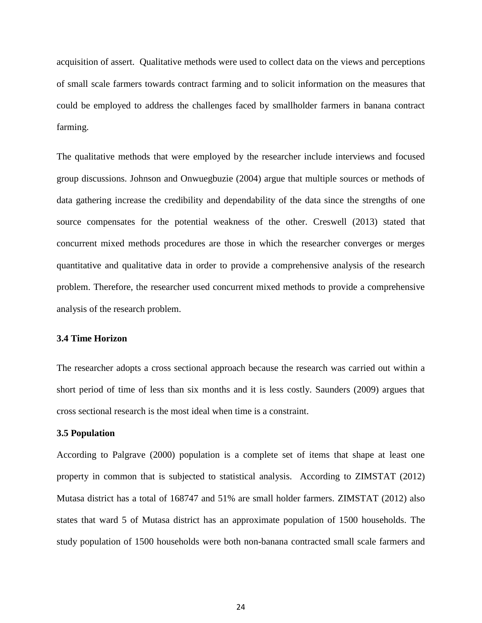acquisition of assert. Qualitative methods were used to collect data on the views and perceptions of small scale farmers towards contract farming and to solicit information on the measures that could be employed to address the challenges faced by smallholder farmers in banana contract farming.

The qualitative methods that were employed by the researcher include interviews and focused group discussions. Johnson and Onwuegbuzie (2004) argue that multiple sources or methods of data gathering increase the credibility and dependability of the data since the strengths of one source compensates for the potential weakness of the other. Creswell (2013) stated that concurrent mixed methods procedures are those in which the researcher converges or merges quantitative and qualitative data in order to provide a comprehensive analysis of the research problem. Therefore, the researcher used concurrent mixed methods to provide a comprehensive analysis of the research problem.

# **3.4 Time Horizon**

The researcher adopts a cross sectional approach because the research was carried out within a short period of time of less than six months and it is less costly. Saunders (2009) argues that cross sectional research is the most ideal when time is a constraint.

## **3.5 Population**

According to Palgrave (2000) population is a complete set of items that shape at least one property in common that is subjected to statistical analysis. According to ZIMSTAT (2012) Mutasa district has a total of 168747 and 51% are small holder farmers. ZIMSTAT (2012) also states that ward 5 of Mutasa district has an approximate population of 1500 households. The study population of 1500 households were both non-banana contracted small scale farmers and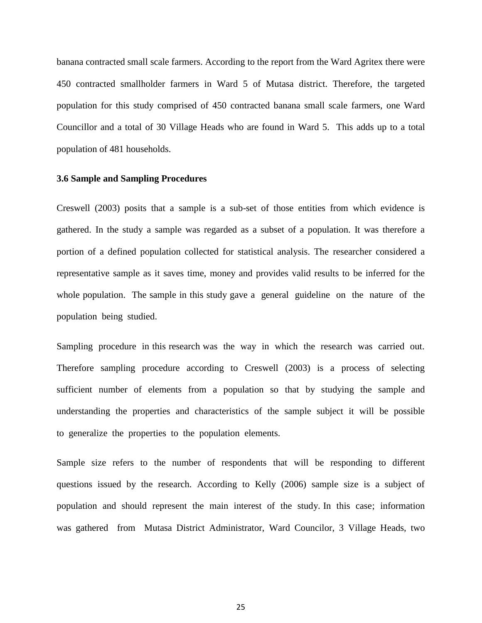banana contracted small scale farmers. According to the report from the Ward Agritex there were 450 contracted smallholder farmers in Ward 5 of Mutasa district. Therefore, the targeted population for this study comprised of 450 contracted banana small scale farmers, one Ward Councillor and a total of 30 Village Heads who are found in Ward 5. This adds up to a total population of 481 households.

#### **3.6 Sample and Sampling Procedures**

Creswell (2003) posits that a sample is a sub-set of those entities from which evidence is gathered. In the study a sample was regarded as a subset of a population. It was therefore a portion of a defined population collected for statistical analysis. The researcher considered a representative sample as it saves time, money and provides valid results to be inferred for the whole population. The sample in this study gave a general guideline on the nature of the population being studied.

Sampling procedure in this research was the way in which the research was carried out. Therefore sampling procedure according to Creswell (2003) is a process of selecting sufficient number of elements from a population so that by studying the sample and understanding the properties and characteristics of the sample subject it will be possible to generalize the properties to the population elements.

Sample size refers to the number of respondents that will be responding to different questions issued by the research. According to Kelly (2006) sample size is a subject of population and should represent the main interest of the study. In this case; information was gathered from Mutasa District Administrator, Ward Councilor, 3 Village Heads, two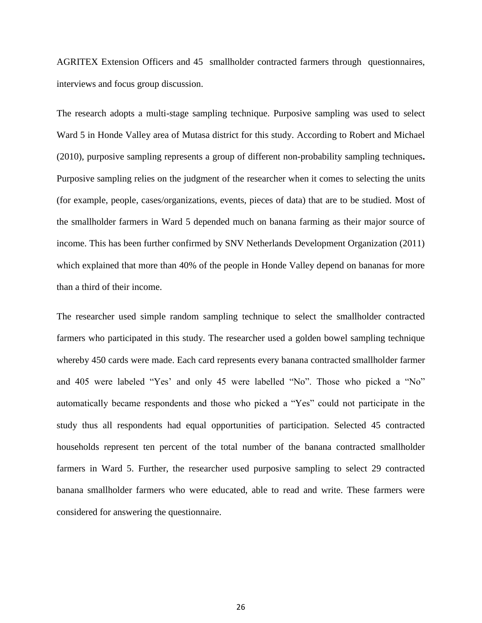AGRITEX Extension Officers and 45 smallholder contracted farmers through questionnaires, interviews and focus group discussion.

The research adopts a multi-stage sampling technique. Purposive sampling was used to select Ward 5 in Honde Valley area of Mutasa district for this study. According to Robert and Michael (2010), purposive sampling represents a group of different non-probability sampling techniques**.** Purposive sampling relies on the judgment of the researcher when it comes to selecting the units (for example, people, cases/organizations, events, pieces of data) that are to be studied. Most of the smallholder farmers in Ward 5 depended much on banana farming as their major source of income. This has been further confirmed by SNV Netherlands Development Organization (2011) which explained that more than 40% of the people in Honde Valley depend on bananas for more than a third of their income.

The researcher used simple random sampling technique to select the smallholder contracted farmers who participated in this study. The researcher used a golden bowel sampling technique whereby 450 cards were made. Each card represents every banana contracted smallholder farmer and 405 were labeled "Yes' and only 45 were labelled "No". Those who picked a "No" automatically became respondents and those who picked a "Yes" could not participate in the study thus all respondents had equal opportunities of participation. Selected 45 contracted households represent ten percent of the total number of the banana contracted smallholder farmers in Ward 5. Further, the researcher used purposive sampling to select 29 contracted banana smallholder farmers who were educated, able to read and write. These farmers were considered for answering the questionnaire.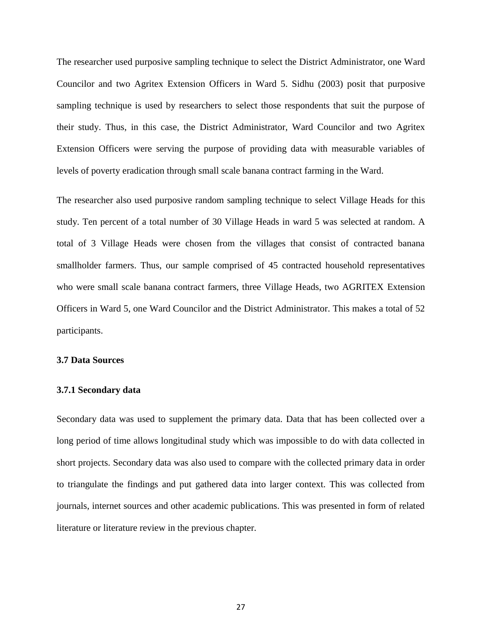The researcher used purposive sampling technique to select the District Administrator, one Ward Councilor and two Agritex Extension Officers in Ward 5. Sidhu (2003) posit that purposive sampling technique is used by researchers to select those respondents that suit the purpose of their study. Thus, in this case, the District Administrator, Ward Councilor and two Agritex Extension Officers were serving the purpose of providing data with measurable variables of levels of poverty eradication through small scale banana contract farming in the Ward.

The researcher also used purposive random sampling technique to select Village Heads for this study. Ten percent of a total number of 30 Village Heads in ward 5 was selected at random. A total of 3 Village Heads were chosen from the villages that consist of contracted banana smallholder farmers. Thus, our sample comprised of 45 contracted household representatives who were small scale banana contract farmers, three Village Heads, two AGRITEX Extension Officers in Ward 5, one Ward Councilor and the District Administrator. This makes a total of 52 participants.

# **3.7 Data Sources**

#### **3.7.1 Secondary data**

Secondary data was used to supplement the primary data. Data that has been collected over a long period of time allows longitudinal study which was impossible to do with data collected in short projects. Secondary data was also used to compare with the collected primary data in order to triangulate the findings and put gathered data into larger context. This was collected from journals, internet sources and other academic publications. This was presented in form of related literature or literature review in the previous chapter.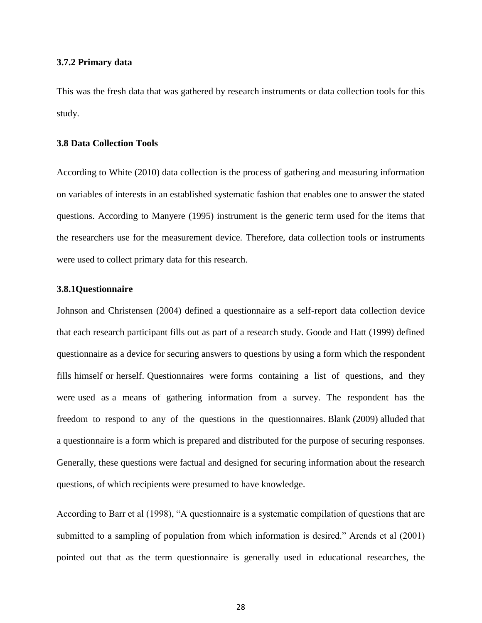## **3.7.2 Primary data**

This was the fresh data that was gathered by research instruments or data collection tools for this study.

# **3.8 Data Collection Tools**

According to White (2010) data collection is the process of gathering and measuring information on variables of interests in an established systematic fashion that enables one to answer the stated questions. According to Manyere (1995) instrument is the generic term used for the items that the researchers use for the measurement device. Therefore, data collection tools or instruments were used to collect primary data for this research.

# **3.8.1Questionnaire**

Johnson and Christensen (2004) defined a questionnaire as a self-report data collection device that each research participant fills out as part of a research study. Goode and Hatt (1999) defined questionnaire as a device for securing answers to questions by using a form which the respondent fills himself or herself. Questionnaires were forms containing a list of questions, and they were used as a means of gathering information from a survey. The respondent has the freedom to respond to any of the questions in the questionnaires. Blank (2009) alluded that a questionnaire is a form which is prepared and distributed for the purpose of securing responses. Generally, these questions were factual and designed for securing information about the research questions, of which recipients were presumed to have knowledge.

According to Barr et al (1998), "A questionnaire is a systematic compilation of questions that are submitted to a sampling of population from which information is desired." Arends et al (2001) pointed out that as the term questionnaire is generally used in educational researches, the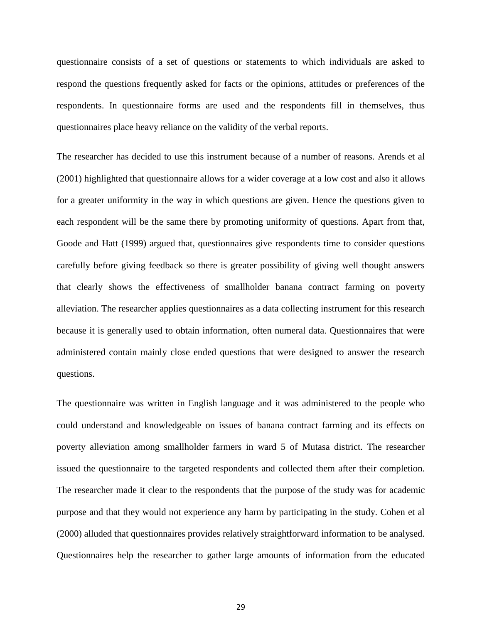questionnaire consists of a set of questions or statements to which individuals are asked to respond the questions frequently asked for facts or the opinions, attitudes or preferences of the respondents. In questionnaire forms are used and the respondents fill in themselves, thus questionnaires place heavy reliance on the validity of the verbal reports.

The researcher has decided to use this instrument because of a number of reasons. Arends et al (2001) highlighted that questionnaire allows for a wider coverage at a low cost and also it allows for a greater uniformity in the way in which questions are given. Hence the questions given to each respondent will be the same there by promoting uniformity of questions. Apart from that, Goode and Hatt (1999) argued that, questionnaires give respondents time to consider questions carefully before giving feedback so there is greater possibility of giving well thought answers that clearly shows the effectiveness of smallholder banana contract farming on poverty alleviation. The researcher applies questionnaires as a data collecting instrument for this research because it is generally used to obtain information, often numeral data. Questionnaires that were administered contain mainly close ended questions that were designed to answer the research questions.

The questionnaire was written in English language and it was administered to the people who could understand and knowledgeable on issues of banana contract farming and its effects on poverty alleviation among smallholder farmers in ward 5 of Mutasa district. The researcher issued the questionnaire to the targeted respondents and collected them after their completion. The researcher made it clear to the respondents that the purpose of the study was for academic purpose and that they would not experience any harm by participating in the study. Cohen et al (2000) alluded that questionnaires provides relatively straightforward information to be analysed. Questionnaires help the researcher to gather large amounts of information from the educated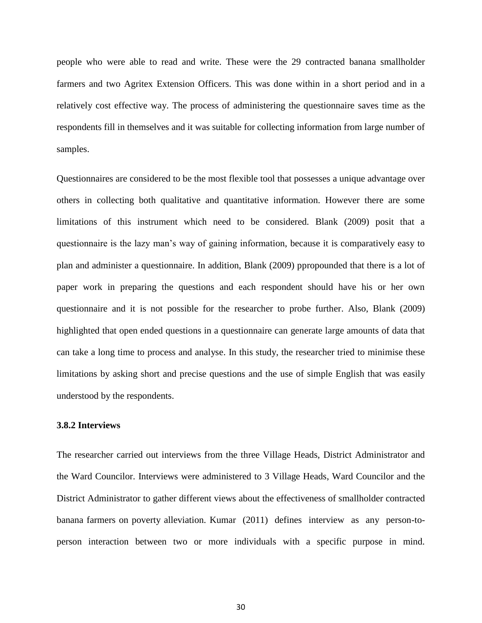people who were able to read and write. These were the 29 contracted banana smallholder farmers and two Agritex Extension Officers. This was done within in a short period and in a relatively cost effective way. The process of administering the questionnaire saves time as the respondents fill in themselves and it was suitable for collecting information from large number of samples.

Questionnaires are considered to be the most flexible tool that possesses a unique advantage over others in collecting both qualitative and quantitative information. However there are some limitations of this instrument which need to be considered. Blank (2009) posit that a questionnaire is the lazy man's way of gaining information, because it is comparatively easy to plan and administer a questionnaire. In addition, Blank (2009) ppropounded that there is a lot of paper work in preparing the questions and each respondent should have his or her own questionnaire and it is not possible for the researcher to probe further. Also, Blank (2009) highlighted that open ended questions in a questionnaire can generate large amounts of data that can take a long time to process and analyse. In this study, the researcher tried to minimise these limitations by asking short and precise questions and the use of simple English that was easily understood by the respondents.

# **3.8.2 Interviews**

The researcher carried out interviews from the three Village Heads, District Administrator and the Ward Councilor. Interviews were administered to 3 Village Heads, Ward Councilor and the District Administrator to gather different views about the effectiveness of smallholder contracted banana farmers on poverty alleviation. Kumar (2011) defines interview as any person-toperson interaction between two or more individuals with a specific purpose in mind.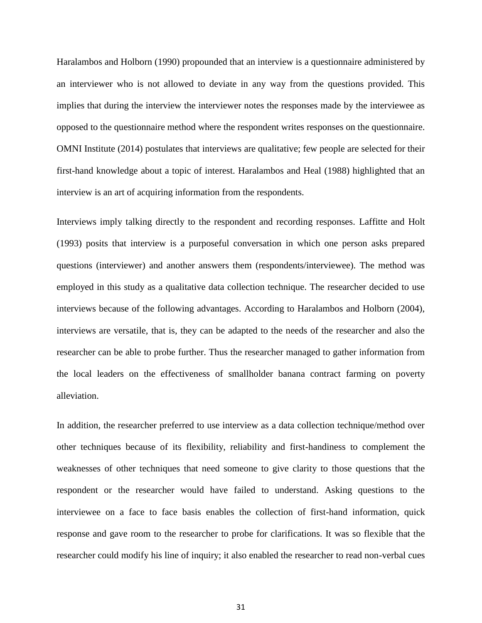Haralambos and Holborn (1990) propounded that an interview is a questionnaire administered by an interviewer who is not allowed to deviate in any way from the questions provided. This implies that during the interview the interviewer notes the responses made by the interviewee as opposed to the questionnaire method where the respondent writes responses on the questionnaire. OMNI Institute (2014) postulates that interviews are qualitative; few people are selected for their first-hand knowledge about a topic of interest. Haralambos and Heal (1988) highlighted that an interview is an art of acquiring information from the respondents.

Interviews imply talking directly to the respondent and recording responses. Laffitte and Holt (1993) posits that interview is a purposeful conversation in which one person asks prepared questions (interviewer) and another answers them (respondents/interviewee). The method was employed in this study as a qualitative data collection technique. The researcher decided to use interviews because of the following advantages. According to Haralambos and Holborn (2004), interviews are versatile, that is, they can be adapted to the needs of the researcher and also the researcher can be able to probe further. Thus the researcher managed to gather information from the local leaders on the effectiveness of smallholder banana contract farming on poverty alleviation.

In addition, the researcher preferred to use interview as a data collection technique/method over other techniques because of its flexibility, reliability and first-handiness to complement the weaknesses of other techniques that need someone to give clarity to those questions that the respondent or the researcher would have failed to understand. Asking questions to the interviewee on a face to face basis enables the collection of first-hand information, quick response and gave room to the researcher to probe for clarifications. It was so flexible that the researcher could modify his line of inquiry; it also enabled the researcher to read non-verbal cues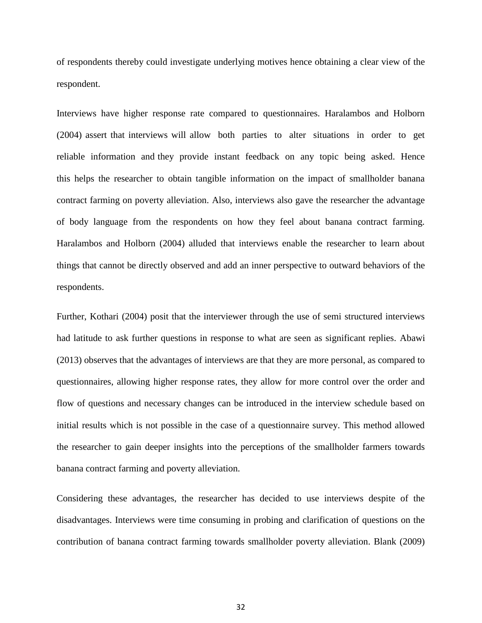of respondents thereby could investigate underlying motives hence obtaining a clear view of the respondent.

Interviews have higher response rate compared to questionnaires. Haralambos and Holborn (2004) assert that interviews will allow both parties to alter situations in order to get reliable information and they provide instant feedback on any topic being asked. Hence this helps the researcher to obtain tangible information on the impact of smallholder banana contract farming on poverty alleviation. Also, interviews also gave the researcher the advantage of body language from the respondents on how they feel about banana contract farming. Haralambos and Holborn (2004) alluded that interviews enable the researcher to learn about things that cannot be directly observed and add an inner perspective to outward behaviors of the respondents.

Further, Kothari (2004) posit that the interviewer through the use of semi structured interviews had latitude to ask further questions in response to what are seen as significant replies. Abawi (2013) observes that the advantages of interviews are that they are more personal, as compared to questionnaires, allowing higher response rates, they allow for more control over the order and flow of questions and necessary changes can be introduced in the interview schedule based on initial results which is not possible in the case of a questionnaire survey. This method allowed the researcher to gain deeper insights into the perceptions of the smallholder farmers towards banana contract farming and poverty alleviation.

Considering these advantages, the researcher has decided to use interviews despite of the disadvantages. Interviews were time consuming in probing and clarification of questions on the contribution of banana contract farming towards smallholder poverty alleviation. Blank (2009)

32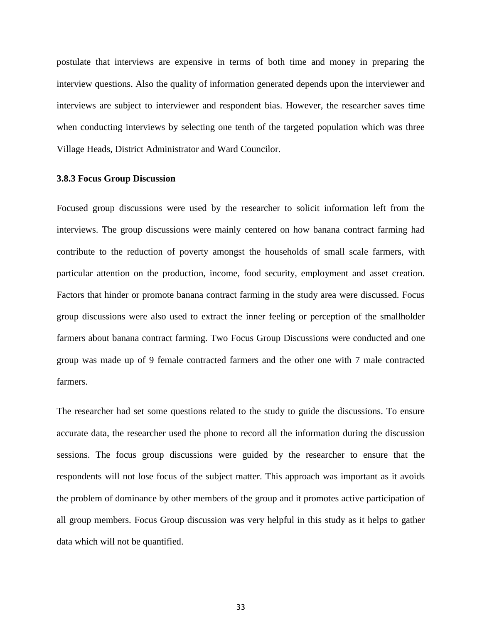postulate that interviews are expensive in terms of both time and money in preparing the interview questions. Also the quality of information generated depends upon the interviewer and interviews are subject to interviewer and respondent bias. However, the researcher saves time when conducting interviews by selecting one tenth of the targeted population which was three Village Heads, District Administrator and Ward Councilor.

#### **3.8.3 Focus Group Discussion**

Focused group discussions were used by the researcher to solicit information left from the interviews. The group discussions were mainly centered on how banana contract farming had contribute to the reduction of poverty amongst the households of small scale farmers, with particular attention on the production, income, food security, employment and asset creation. Factors that hinder or promote banana contract farming in the study area were discussed. Focus group discussions were also used to extract the inner feeling or perception of the smallholder farmers about banana contract farming. Two Focus Group Discussions were conducted and one group was made up of 9 female contracted farmers and the other one with 7 male contracted farmers.

The researcher had set some questions related to the study to guide the discussions. To ensure accurate data, the researcher used the phone to record all the information during the discussion sessions. The focus group discussions were guided by the researcher to ensure that the respondents will not lose focus of the subject matter. This approach was important as it avoids the problem of dominance by other members of the group and it promotes active participation of all group members. Focus Group discussion was very helpful in this study as it helps to gather data which will not be quantified.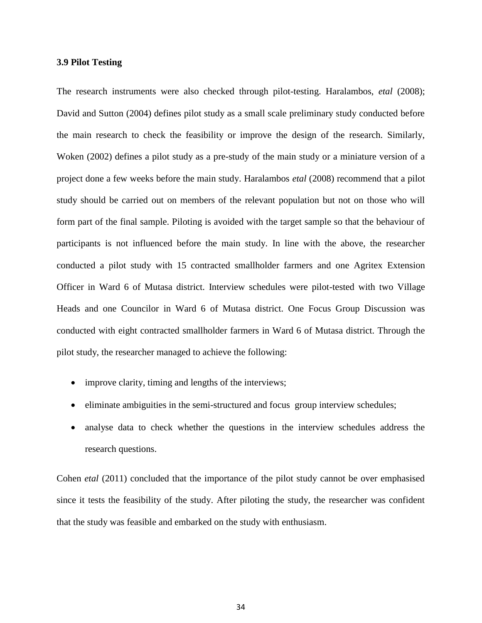### **3.9 Pilot Testing**

The research instruments were also checked through pilot-testing. Haralambos, *etal* (2008); David and Sutton (2004) defines pilot study as a small scale preliminary study conducted before the main research to check the feasibility or improve the design of the research. Similarly, Woken (2002) defines a pilot study as a pre-study of the main study or a miniature version of a project done a few weeks before the main study. Haralambos *etal* (2008) recommend that a pilot study should be carried out on members of the relevant population but not on those who will form part of the final sample. Piloting is avoided with the target sample so that the behaviour of participants is not influenced before the main study. In line with the above, the researcher conducted a pilot study with 15 contracted smallholder farmers and one Agritex Extension Officer in Ward 6 of Mutasa district. Interview schedules were pilot-tested with two Village Heads and one Councilor in Ward 6 of Mutasa district. One Focus Group Discussion was conducted with eight contracted smallholder farmers in Ward 6 of Mutasa district. Through the pilot study, the researcher managed to achieve the following:

- improve clarity, timing and lengths of the interviews;
- eliminate ambiguities in the semi-structured and focus group interview schedules;
- analyse data to check whether the questions in the interview schedules address the research questions.

Cohen *etal* (2011) concluded that the importance of the pilot study cannot be over emphasised since it tests the feasibility of the study. After piloting the study, the researcher was confident that the study was feasible and embarked on the study with enthusiasm.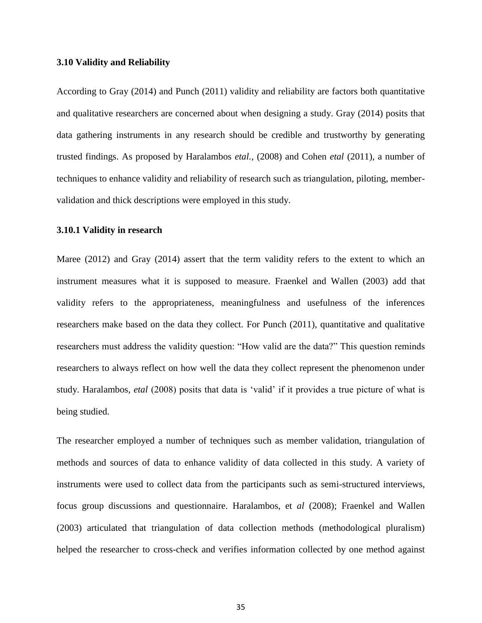#### **3.10 Validity and Reliability**

According to Gray (2014) and Punch (2011) validity and reliability are factors both quantitative and qualitative researchers are concerned about when designing a study. Gray (2014) posits that data gathering instruments in any research should be credible and trustworthy by generating trusted findings. As proposed by Haralambos *etal.,* (2008) and Cohen *etal* (2011), a number of techniques to enhance validity and reliability of research such as triangulation, piloting, membervalidation and thick descriptions were employed in this study.

### **3.10.1 Validity in research**

Maree (2012) and Gray (2014) assert that the term validity refers to the extent to which an instrument measures what it is supposed to measure. Fraenkel and Wallen (2003) add that validity refers to the appropriateness, meaningfulness and usefulness of the inferences researchers make based on the data they collect. For Punch (2011), quantitative and qualitative researchers must address the validity question: "How valid are the data?" This question reminds researchers to always reflect on how well the data they collect represent the phenomenon under study. Haralambos, *etal* (2008) posits that data is 'valid' if it provides a true picture of what is being studied.

The researcher employed a number of techniques such as member validation, triangulation of methods and sources of data to enhance validity of data collected in this study. A variety of instruments were used to collect data from the participants such as semi-structured interviews, focus group discussions and questionnaire. Haralambos, et *al* (2008); Fraenkel and Wallen (2003) articulated that triangulation of data collection methods (methodological pluralism) helped the researcher to cross-check and verifies information collected by one method against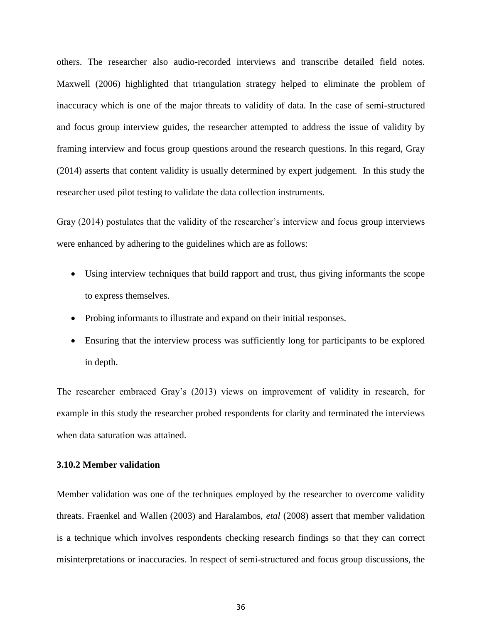others. The researcher also audio-recorded interviews and transcribe detailed field notes. Maxwell (2006) highlighted that triangulation strategy helped to eliminate the problem of inaccuracy which is one of the major threats to validity of data. In the case of semi-structured and focus group interview guides, the researcher attempted to address the issue of validity by framing interview and focus group questions around the research questions. In this regard, Gray (2014) asserts that content validity is usually determined by expert judgement. In this study the researcher used pilot testing to validate the data collection instruments.

Gray (2014) postulates that the validity of the researcher's interview and focus group interviews were enhanced by adhering to the guidelines which are as follows:

- Using interview techniques that build rapport and trust, thus giving informants the scope to express themselves.
- Probing informants to illustrate and expand on their initial responses.
- Ensuring that the interview process was sufficiently long for participants to be explored in depth.

The researcher embraced Gray's (2013) views on improvement of validity in research, for example in this study the researcher probed respondents for clarity and terminated the interviews when data saturation was attained.

### **3.10.2 Member validation**

Member validation was one of the techniques employed by the researcher to overcome validity threats. Fraenkel and Wallen (2003) and Haralambos, *etal* (2008) assert that member validation is a technique which involves respondents checking research findings so that they can correct misinterpretations or inaccuracies. In respect of semi-structured and focus group discussions, the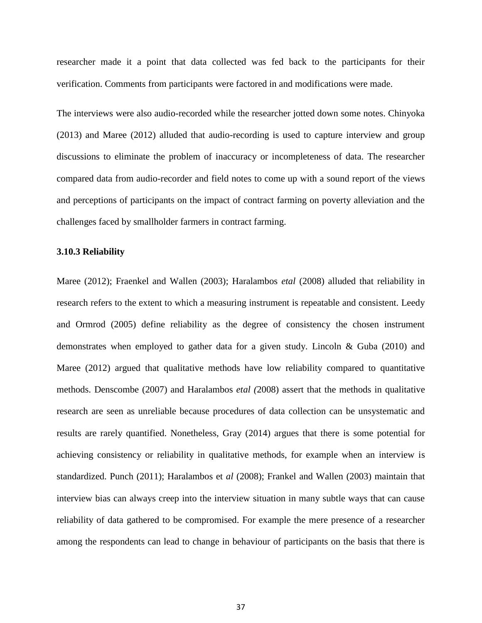researcher made it a point that data collected was fed back to the participants for their verification. Comments from participants were factored in and modifications were made.

The interviews were also audio-recorded while the researcher jotted down some notes. Chinyoka (2013) and Maree (2012) alluded that audio-recording is used to capture interview and group discussions to eliminate the problem of inaccuracy or incompleteness of data. The researcher compared data from audio-recorder and field notes to come up with a sound report of the views and perceptions of participants on the impact of contract farming on poverty alleviation and the challenges faced by smallholder farmers in contract farming.

#### **3.10.3 Reliability**

Maree (2012); Fraenkel and Wallen (2003); Haralambos *etal* (2008) alluded that reliability in research refers to the extent to which a measuring instrument is repeatable and consistent. Leedy and Ormrod (2005) define reliability as the degree of consistency the chosen instrument demonstrates when employed to gather data for a given study. Lincoln & Guba (2010) and Maree (2012) argued that qualitative methods have low reliability compared to quantitative methods. Denscombe (2007) and Haralambos *etal (*2008) assert that the methods in qualitative research are seen as unreliable because procedures of data collection can be unsystematic and results are rarely quantified. Nonetheless, Gray (2014) argues that there is some potential for achieving consistency or reliability in qualitative methods, for example when an interview is standardized. Punch (2011); Haralambos et *al* (2008); Frankel and Wallen (2003) maintain that interview bias can always creep into the interview situation in many subtle ways that can cause reliability of data gathered to be compromised. For example the mere presence of a researcher among the respondents can lead to change in behaviour of participants on the basis that there is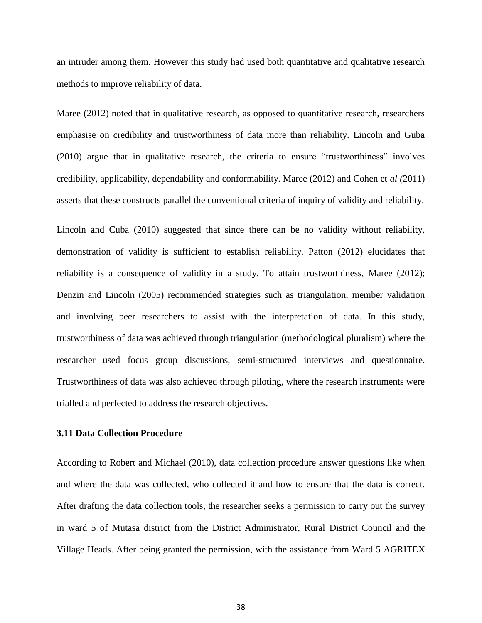an intruder among them. However this study had used both quantitative and qualitative research methods to improve reliability of data.

Maree (2012) noted that in qualitative research, as opposed to quantitative research, researchers emphasise on credibility and trustworthiness of data more than reliability. Lincoln and Guba (2010) argue that in qualitative research, the criteria to ensure "trustworthiness" involves credibility, applicability, dependability and conformability. Maree (2012) and Cohen et *al (*2011) asserts that these constructs parallel the conventional criteria of inquiry of validity and reliability.

Lincoln and Cuba (2010) suggested that since there can be no validity without reliability, demonstration of validity is sufficient to establish reliability. Patton (2012) elucidates that reliability is a consequence of validity in a study. To attain trustworthiness, Maree (2012); Denzin and Lincoln (2005) recommended strategies such as triangulation, member validation and involving peer researchers to assist with the interpretation of data. In this study, trustworthiness of data was achieved through triangulation (methodological pluralism) where the researcher used focus group discussions, semi-structured interviews and questionnaire. Trustworthiness of data was also achieved through piloting, where the research instruments were trialled and perfected to address the research objectives.

# **3.11 Data Collection Procedure**

According to Robert and Michael (2010), data collection procedure answer questions like when and where the data was collected, who collected it and how to ensure that the data is correct. After drafting the data collection tools, the researcher seeks a permission to carry out the survey in ward 5 of Mutasa district from the District Administrator, Rural District Council and the Village Heads. After being granted the permission, with the assistance from Ward 5 AGRITEX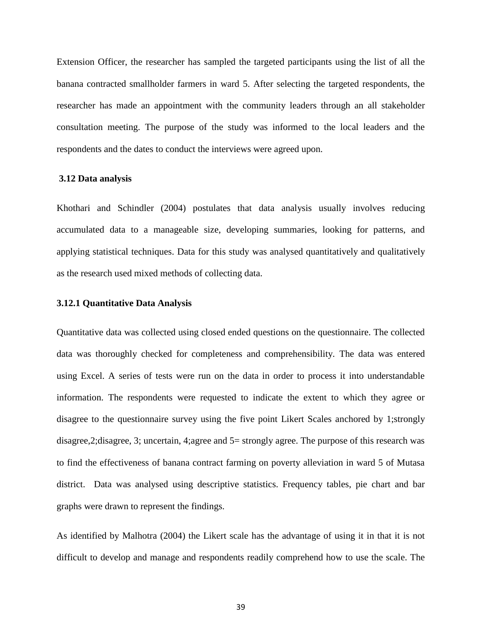Extension Officer, the researcher has sampled the targeted participants using the list of all the banana contracted smallholder farmers in ward 5. After selecting the targeted respondents, the researcher has made an appointment with the community leaders through an all stakeholder consultation meeting. The purpose of the study was informed to the local leaders and the respondents and the dates to conduct the interviews were agreed upon.

#### **3.12 Data analysis**

Khothari and Schindler (2004) postulates that data analysis usually involves reducing accumulated data to a manageable size, developing summaries, looking for patterns, and applying statistical techniques. Data for this study was analysed quantitatively and qualitatively as the research used mixed methods of collecting data.

### **3.12.1 Quantitative Data Analysis**

Quantitative data was collected using closed ended questions on the questionnaire. The collected data was thoroughly checked for completeness and comprehensibility. The data was entered using Excel. A series of tests were run on the data in order to process it into understandable information. The respondents were requested to indicate the extent to which they agree or disagree to the questionnaire survey using the five point Likert Scales anchored by 1;strongly disagree,2;disagree, 3; uncertain, 4;agree and 5= strongly agree. The purpose of this research was to find the effectiveness of banana contract farming on poverty alleviation in ward 5 of Mutasa district. Data was analysed using descriptive statistics. Frequency tables, pie chart and bar graphs were drawn to represent the findings.

As identified by Malhotra (2004) the Likert scale has the advantage of using it in that it is not difficult to develop and manage and respondents readily comprehend how to use the scale. The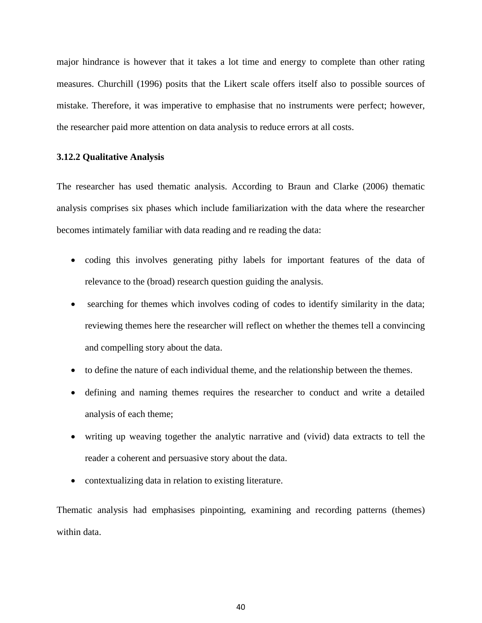major hindrance is however that it takes a lot time and energy to complete than other rating measures. Churchill (1996) posits that the Likert scale offers itself also to possible sources of mistake. Therefore, it was imperative to emphasise that no instruments were perfect; however, the researcher paid more attention on data analysis to reduce errors at all costs.

## **3.12.2 Qualitative Analysis**

The researcher has used thematic analysis. According to Braun and Clarke (2006) thematic analysis comprises six phases which include familiarization with the data where the researcher becomes intimately familiar with data reading and re reading the data:

- coding this involves generating pithy labels for important features of the data of relevance to the (broad) research question guiding the analysis.
- searching for themes which involves coding of codes to identify similarity in the data; reviewing themes here the researcher will reflect on whether the themes tell a convincing and compelling story about the data.
- to define the nature of each individual theme, and the relationship between the themes.
- defining and naming themes requires the researcher to conduct and write a detailed analysis of each theme;
- writing up weaving together the analytic narrative and (vivid) data extracts to tell the reader a coherent and persuasive story about the data.
- contextualizing data in relation to existing literature.

Thematic analysis had emphasises pinpointing, examining and recording patterns (themes) within data.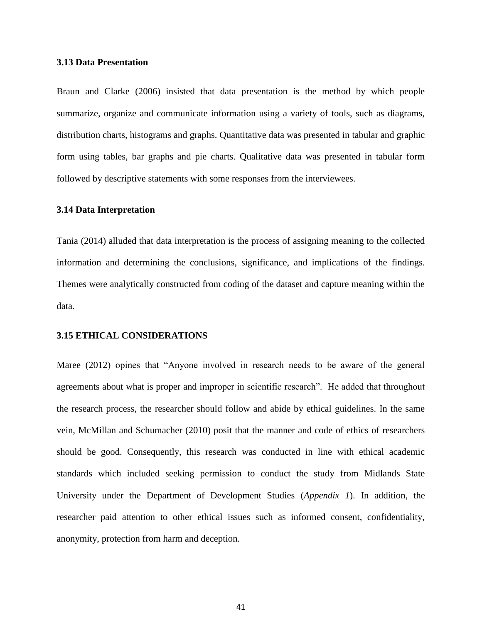### **3.13 Data Presentation**

Braun and Clarke (2006) insisted that data presentation is the method by which people summarize, organize and communicate information using a variety of tools, such as diagrams, distribution charts, histograms and graphs. Quantitative data was presented in tabular and graphic form using tables, bar graphs and pie charts. Qualitative data was presented in tabular form followed by descriptive statements with some responses from the interviewees.

# **3.14 Data Interpretation**

Tania (2014) alluded that data interpretation is the process of assigning meaning to the collected information and determining the conclusions, significance, and implications of the findings. Themes were analytically constructed from coding of the dataset and capture meaning within the data.

#### **3.15 ETHICAL CONSIDERATIONS**

Maree (2012) opines that "Anyone involved in research needs to be aware of the general agreements about what is proper and improper in scientific research". He added that throughout the research process, the researcher should follow and abide by ethical guidelines. In the same vein, McMillan and Schumacher (2010) posit that the manner and code of ethics of researchers should be good. Consequently, this research was conducted in line with ethical academic standards which included seeking permission to conduct the study from Midlands State University under the Department of Development Studies (*Appendix 1*). In addition, the researcher paid attention to other ethical issues such as informed consent, confidentiality, anonymity, protection from harm and deception.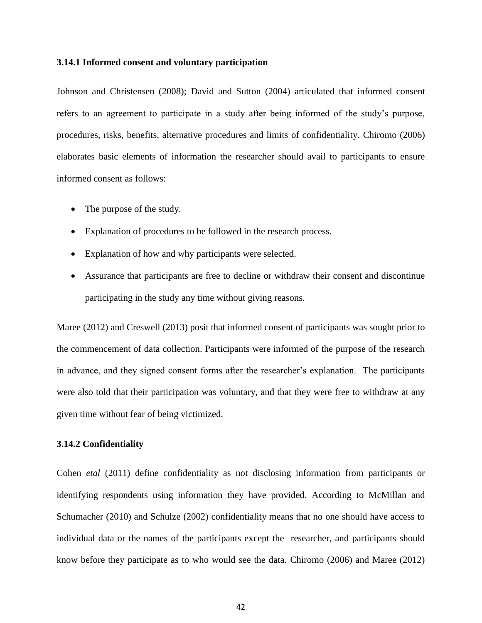#### **3.14.1 Informed consent and voluntary participation**

Johnson and Christensen (2008); David and Sutton (2004) articulated that informed consent refers to an agreement to participate in a study after being informed of the study's purpose, procedures, risks, benefits, alternative procedures and limits of confidentiality. Chiromo (2006) elaborates basic elements of information the researcher should avail to participants to ensure informed consent as follows:

- The purpose of the study.
- Explanation of procedures to be followed in the research process.
- Explanation of how and why participants were selected.
- Assurance that participants are free to decline or withdraw their consent and discontinue participating in the study any time without giving reasons.

Maree (2012) and Creswell (2013) posit that informed consent of participants was sought prior to the commencement of data collection. Participants were informed of the purpose of the research in advance, and they signed consent forms after the researcher's explanation. The participants were also told that their participation was voluntary, and that they were free to withdraw at any given time without fear of being victimized.

# **3.14.2 Confidentiality**

Cohen *etal* (2011) define confidentiality as not disclosing information from participants or identifying respondents using information they have provided. According to McMillan and Schumacher (2010) and Schulze (2002) confidentiality means that no one should have access to individual data or the names of the participants except the researcher, and participants should know before they participate as to who would see the data. Chiromo (2006) and Maree (2012)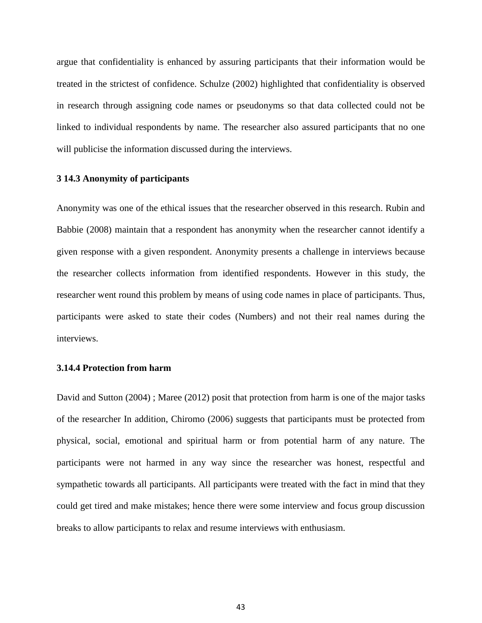argue that confidentiality is enhanced by assuring participants that their information would be treated in the strictest of confidence. Schulze (2002) highlighted that confidentiality is observed in research through assigning code names or pseudonyms so that data collected could not be linked to individual respondents by name. The researcher also assured participants that no one will publicise the information discussed during the interviews.

## **3 14.3 Anonymity of participants**

Anonymity was one of the ethical issues that the researcher observed in this research. Rubin and Babbie (2008) maintain that a respondent has anonymity when the researcher cannot identify a given response with a given respondent. Anonymity presents a challenge in interviews because the researcher collects information from identified respondents. However in this study, the researcher went round this problem by means of using code names in place of participants. Thus, participants were asked to state their codes (Numbers) and not their real names during the interviews.

# **3.14.4 Protection from harm**

David and Sutton (2004) ; Maree (2012) posit that protection from harm is one of the major tasks of the researcher In addition, Chiromo (2006) suggests that participants must be protected from physical, social, emotional and spiritual harm or from potential harm of any nature. The participants were not harmed in any way since the researcher was honest, respectful and sympathetic towards all participants. All participants were treated with the fact in mind that they could get tired and make mistakes; hence there were some interview and focus group discussion breaks to allow participants to relax and resume interviews with enthusiasm.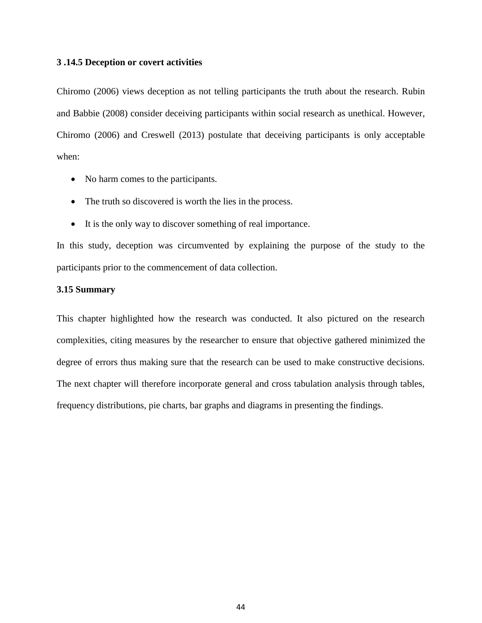### **3 .14.5 Deception or covert activities**

Chiromo (2006) views deception as not telling participants the truth about the research. Rubin and Babbie (2008) consider deceiving participants within social research as unethical. However, Chiromo (2006) and Creswell (2013) postulate that deceiving participants is only acceptable when:

- No harm comes to the participants.
- The truth so discovered is worth the lies in the process.
- It is the only way to discover something of real importance.

In this study, deception was circumvented by explaining the purpose of the study to the participants prior to the commencement of data collection.

# **3.15 Summary**

This chapter highlighted how the research was conducted. It also pictured on the research complexities, citing measures by the researcher to ensure that objective gathered minimized the degree of errors thus making sure that the research can be used to make constructive decisions. The next chapter will therefore incorporate general and cross tabulation analysis through tables, frequency distributions, pie charts, bar graphs and diagrams in presenting the findings.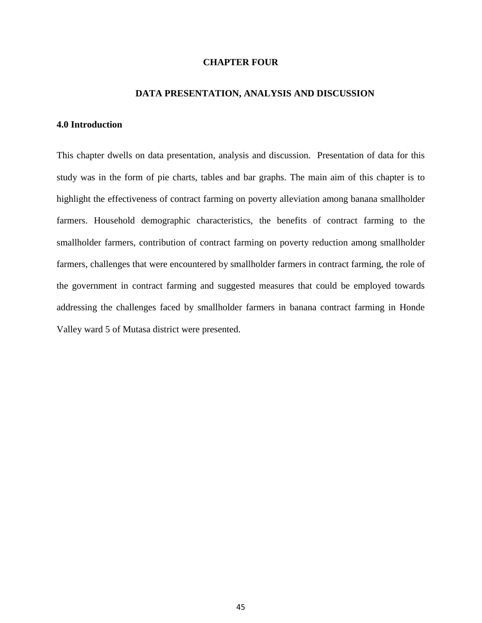## **CHAPTER FOUR**

#### **DATA PRESENTATION, ANALYSIS AND DISCUSSION**

# **4.0 Introduction**

This chapter dwells on data presentation, analysis and discussion. Presentation of data for this study was in the form of pie charts, tables and bar graphs. The main aim of this chapter is to highlight the effectiveness of contract farming on poverty alleviation among banana smallholder farmers. Household demographic characteristics, the benefits of contract farming to the smallholder farmers, contribution of contract farming on poverty reduction among smallholder farmers, challenges that were encountered by smallholder farmers in contract farming, the role of the government in contract farming and suggested measures that could be employed towards addressing the challenges faced by smallholder farmers in banana contract farming in Honde Valley ward 5 of Mutasa district were presented.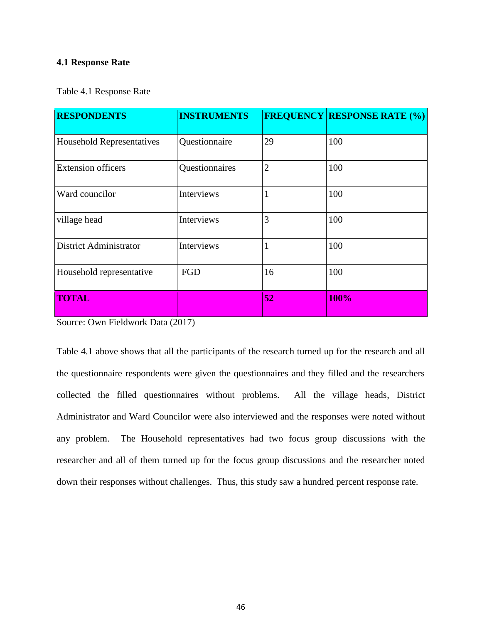## **4.1 Response Rate**

Table 4.1 Response Rate

| <b>RESPONDENTS</b>               | <b>INSTRUMENTS</b> |                | <b>FREQUENCY RESPONSE RATE (%)</b> |
|----------------------------------|--------------------|----------------|------------------------------------|
| <b>Household Representatives</b> | Questionnaire      | 29             | 100                                |
| <b>Extension officers</b>        | Questionnaires     | $\overline{2}$ | 100                                |
| Ward councilor                   | Interviews         |                | 100                                |
| village head                     | Interviews         | 3              | 100                                |
| District Administrator           | Interviews         | 1              | 100                                |
| Household representative         | FGD                | 16             | 100                                |
| <b>TOTAL</b>                     |                    | 52             | 100%                               |

Source: Own Fieldwork Data (2017)

Table 4.1 above shows that all the participants of the research turned up for the research and all the questionnaire respondents were given the questionnaires and they filled and the researchers collected the filled questionnaires without problems. All the village heads, District Administrator and Ward Councilor were also interviewed and the responses were noted without any problem. The Household representatives had two focus group discussions with the researcher and all of them turned up for the focus group discussions and the researcher noted down their responses without challenges. Thus, this study saw a hundred percent response rate.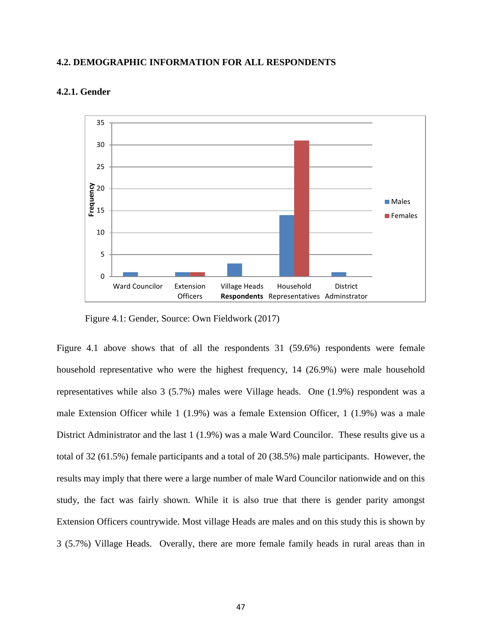## **4.2. DEMOGRAPHIC INFORMATION FOR ALL RESPONDENTS**



# **4.2.1. Gender**

Figure 4.1: Gender, Source: Own Fieldwork (2017)

Figure 4.1 above shows that of all the respondents 31 (59.6%) respondents were female household representative who were the highest frequency, 14 (26.9%) were male household representatives while also 3 (5.7%) males were Village heads. One (1.9%) respondent was a male Extension Officer while 1 (1.9%) was a female Extension Officer, 1 (1.9%) was a male District Administrator and the last 1 (1.9%) was a male Ward Councilor. These results give us a total of 32 (61.5%) female participants and a total of 20 (38.5%) male participants. However, the results may imply that there were a large number of male Ward Councilor nationwide and on this study, the fact was fairly shown. While it is also true that there is gender parity amongst Extension Officers countrywide. Most village Heads are males and on this study this is shown by 3 (5.7%) Village Heads. Overally, there are more female family heads in rural areas than in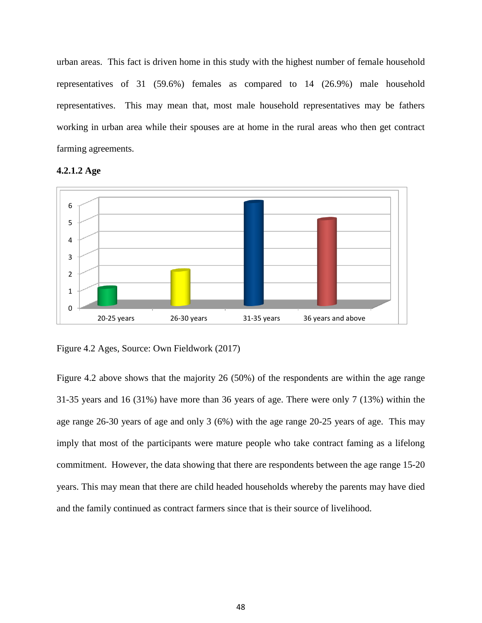urban areas. This fact is driven home in this study with the highest number of female household representatives of 31 (59.6%) females as compared to 14 (26.9%) male household representatives. This may mean that, most male household representatives may be fathers working in urban area while their spouses are at home in the rural areas who then get contract farming agreements.





Figure 4.2 Ages, Source: Own Fieldwork (2017)

Figure 4.2 above shows that the majority 26 (50%) of the respondents are within the age range 31-35 years and 16 (31%) have more than 36 years of age. There were only 7 (13%) within the age range 26-30 years of age and only 3 (6%) with the age range 20-25 years of age. This may imply that most of the participants were mature people who take contract faming as a lifelong commitment. However, the data showing that there are respondents between the age range 15-20 years. This may mean that there are child headed households whereby the parents may have died and the family continued as contract farmers since that is their source of livelihood.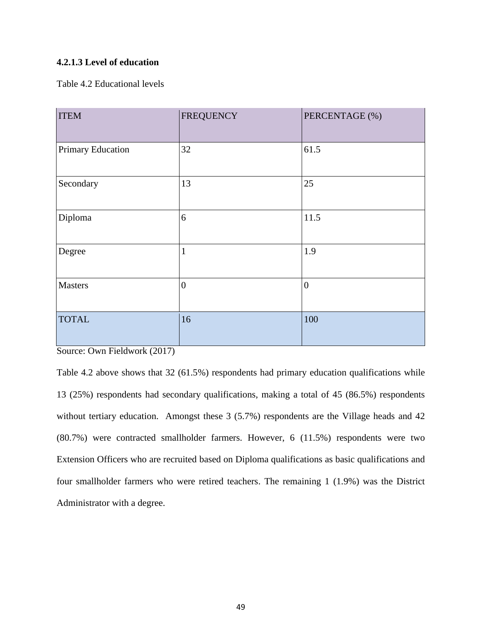# **4.2.1.3 Level of education**

Table 4.2 Educational levels

| <b>ITEM</b>       | <b>FREQUENCY</b> | PERCENTAGE (%) |
|-------------------|------------------|----------------|
| Primary Education | 32               | 61.5           |
| Secondary         | 13               | 25             |
| Diploma           | 6                | 11.5           |
| Degree            | $\mathbf{1}$     | 1.9            |
| <b>Masters</b>    | $\mathbf{0}$     | $\mathbf{0}$   |
| <b>TOTAL</b>      | 16               | 100            |

Source: Own Fieldwork (2017)

Table 4.2 above shows that 32 (61.5%) respondents had primary education qualifications while 13 (25%) respondents had secondary qualifications, making a total of 45 (86.5%) respondents without tertiary education. Amongst these 3 (5.7%) respondents are the Village heads and 42 (80.7%) were contracted smallholder farmers. However, 6 (11.5%) respondents were two Extension Officers who are recruited based on Diploma qualifications as basic qualifications and four smallholder farmers who were retired teachers. The remaining 1 (1.9%) was the District Administrator with a degree.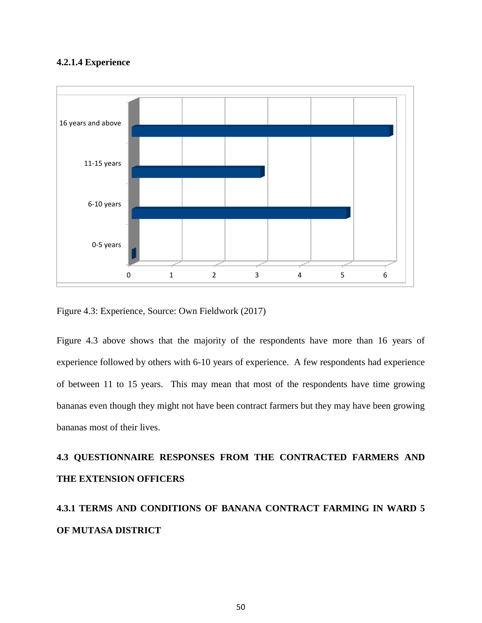# **4.2.1.4 Experience**



Figure 4.3: Experience, Source: Own Fieldwork (2017)

Figure 4.3 above shows that the majority of the respondents have more than 16 years of experience followed by others with 6-10 years of experience. A few respondents had experience of between 11 to 15 years. This may mean that most of the respondents have time growing bananas even though they might not have been contract farmers but they may have been growing bananas most of their lives.

# **4.3 QUESTIONNAIRE RESPONSES FROM THE CONTRACTED FARMERS AND THE EXTENSION OFFICERS**

# **4.3.1 TERMS AND CONDITIONS OF BANANA CONTRACT FARMING IN WARD 5 OF MUTASA DISTRICT**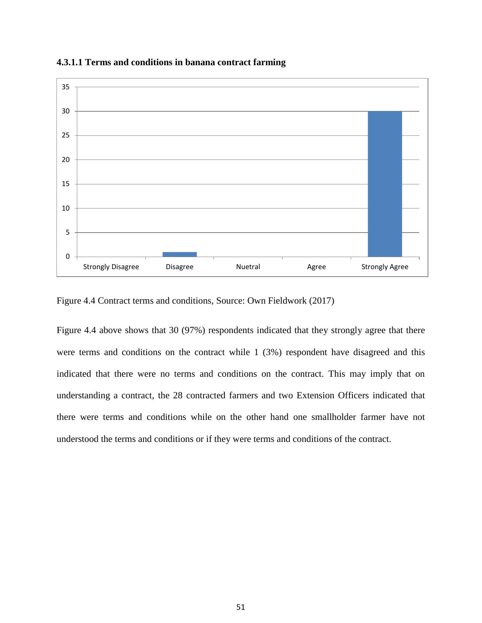

**4.3.1.1 Terms and conditions in banana contract farming**

Figure 4.4 Contract terms and conditions, Source: Own Fieldwork (2017)

Figure 4.4 above shows that 30 (97%) respondents indicated that they strongly agree that there were terms and conditions on the contract while 1 (3%) respondent have disagreed and this indicated that there were no terms and conditions on the contract. This may imply that on understanding a contract, the 28 contracted farmers and two Extension Officers indicated that there were terms and conditions while on the other hand one smallholder farmer have not understood the terms and conditions or if they were terms and conditions of the contract.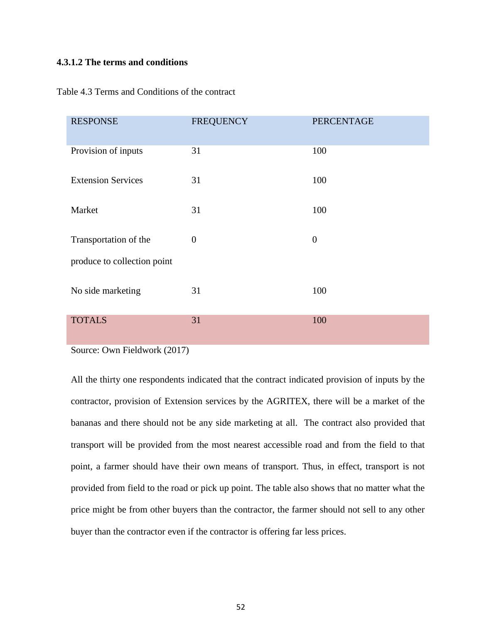# **4.3.1.2 The terms and conditions**

| <b>RESPONSE</b>             | <b>FREQUENCY</b> | <b>PERCENTAGE</b> |
|-----------------------------|------------------|-------------------|
| Provision of inputs         | 31               | 100               |
| <b>Extension Services</b>   | 31               | 100               |
| Market                      | 31               | 100               |
| Transportation of the       | $\theta$         | $\mathbf{0}$      |
| produce to collection point |                  |                   |
| No side marketing           | 31               | 100               |
| <b>TOTALS</b>               | 31               | 100               |

Table 4.3 Terms and Conditions of the contract

Source: Own Fieldwork (2017)

All the thirty one respondents indicated that the contract indicated provision of inputs by the contractor, provision of Extension services by the AGRITEX, there will be a market of the bananas and there should not be any side marketing at all. The contract also provided that transport will be provided from the most nearest accessible road and from the field to that point, a farmer should have their own means of transport. Thus, in effect, transport is not provided from field to the road or pick up point. The table also shows that no matter what the price might be from other buyers than the contractor, the farmer should not sell to any other buyer than the contractor even if the contractor is offering far less prices.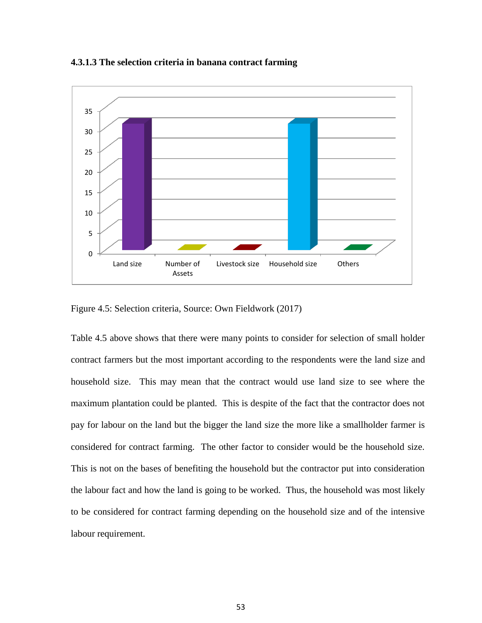#### **4.3.1.3 The selection criteria in banana contract farming**



Figure 4.5: Selection criteria, Source: Own Fieldwork (2017)

Table 4.5 above shows that there were many points to consider for selection of small holder contract farmers but the most important according to the respondents were the land size and household size. This may mean that the contract would use land size to see where the maximum plantation could be planted. This is despite of the fact that the contractor does not pay for labour on the land but the bigger the land size the more like a smallholder farmer is considered for contract farming. The other factor to consider would be the household size. This is not on the bases of benefiting the household but the contractor put into consideration the labour fact and how the land is going to be worked. Thus, the household was most likely to be considered for contract farming depending on the household size and of the intensive labour requirement.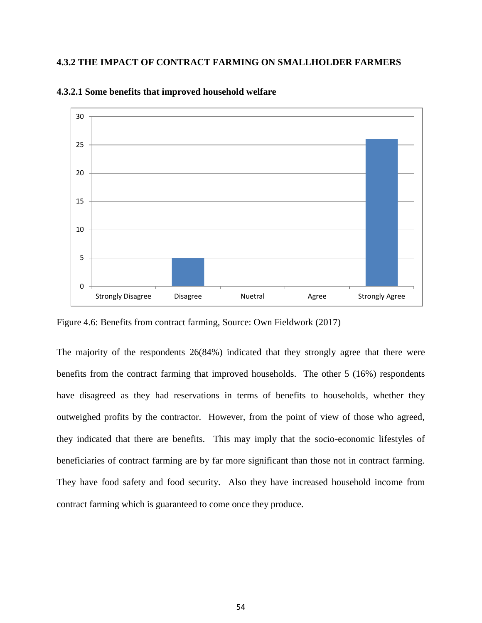# **4.3.2 THE IMPACT OF CONTRACT FARMING ON SMALLHOLDER FARMERS**



**4.3.2.1 Some benefits that improved household welfare** 

Figure 4.6: Benefits from contract farming, Source: Own Fieldwork (2017)

The majority of the respondents 26(84%) indicated that they strongly agree that there were benefits from the contract farming that improved households. The other 5 (16%) respondents have disagreed as they had reservations in terms of benefits to households, whether they outweighed profits by the contractor. However, from the point of view of those who agreed, they indicated that there are benefits. This may imply that the socio-economic lifestyles of beneficiaries of contract farming are by far more significant than those not in contract farming. They have food safety and food security. Also they have increased household income from contract farming which is guaranteed to come once they produce.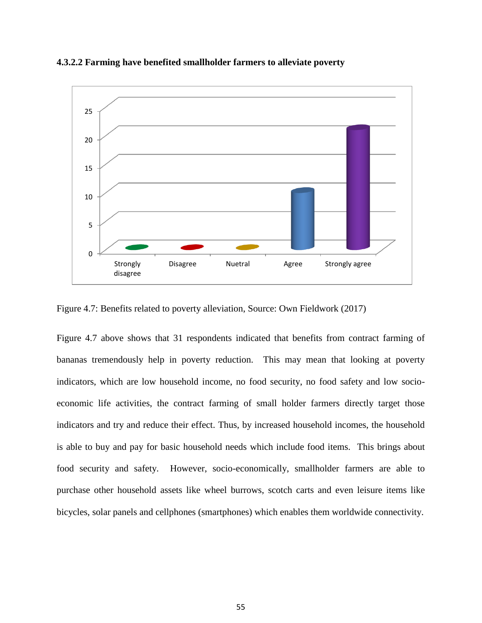



Figure 4.7: Benefits related to poverty alleviation, Source: Own Fieldwork (2017)

Figure 4.7 above shows that 31 respondents indicated that benefits from contract farming of bananas tremendously help in poverty reduction. This may mean that looking at poverty indicators, which are low household income, no food security, no food safety and low socioeconomic life activities, the contract farming of small holder farmers directly target those indicators and try and reduce their effect. Thus, by increased household incomes, the household is able to buy and pay for basic household needs which include food items. This brings about food security and safety. However, socio-economically, smallholder farmers are able to purchase other household assets like wheel burrows, scotch carts and even leisure items like bicycles, solar panels and cellphones (smartphones) which enables them worldwide connectivity.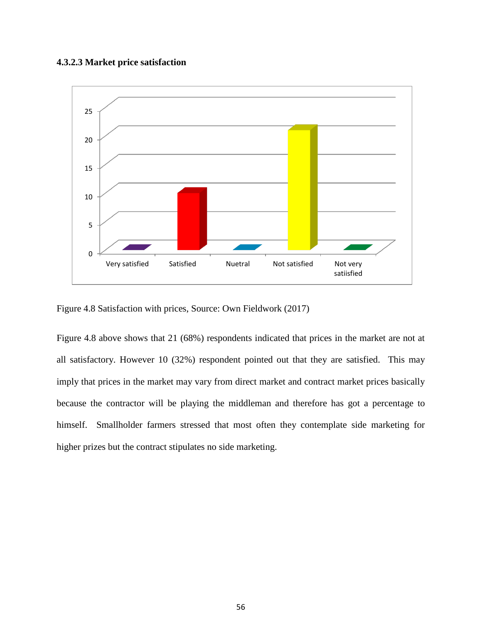# **4.3.2.3 Market price satisfaction**



Figure 4.8 Satisfaction with prices, Source: Own Fieldwork (2017)

Figure 4.8 above shows that 21 (68%) respondents indicated that prices in the market are not at all satisfactory. However 10 (32%) respondent pointed out that they are satisfied. This may imply that prices in the market may vary from direct market and contract market prices basically because the contractor will be playing the middleman and therefore has got a percentage to himself. Smallholder farmers stressed that most often they contemplate side marketing for higher prizes but the contract stipulates no side marketing.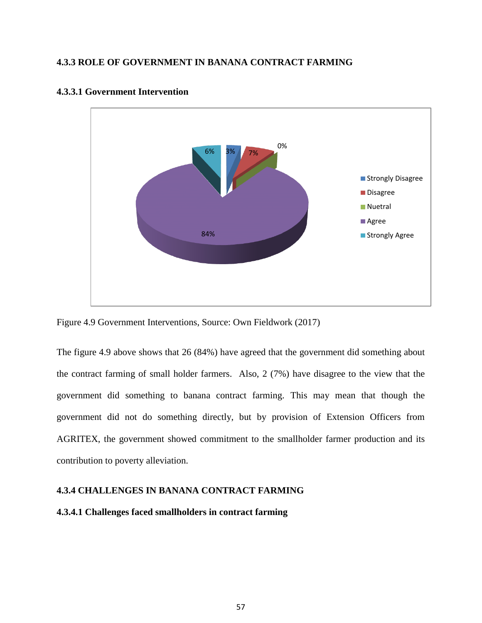# **4.3.3 ROLE OF GOVERNMENT IN BANANA CONTRACT FARMING**



# **4.3.3.1 Government Intervention**

Figure 4.9 Government Interventions, Source: Own Fieldwork (2017)

The figure 4.9 above shows that 26 (84%) have agreed that the government did something about the contract farming of small holder farmers. Also, 2 (7%) have disagree to the view that the government did something to banana contract farming. This may mean that though the government did not do something directly, but by provision of Extension Officers from AGRITEX, the government showed commitment to the smallholder farmer production and its contribution to poverty alleviation.

# **4.3.4 CHALLENGES IN BANANA CONTRACT FARMING**

# **4.3.4.1 Challenges faced smallholders in contract farming**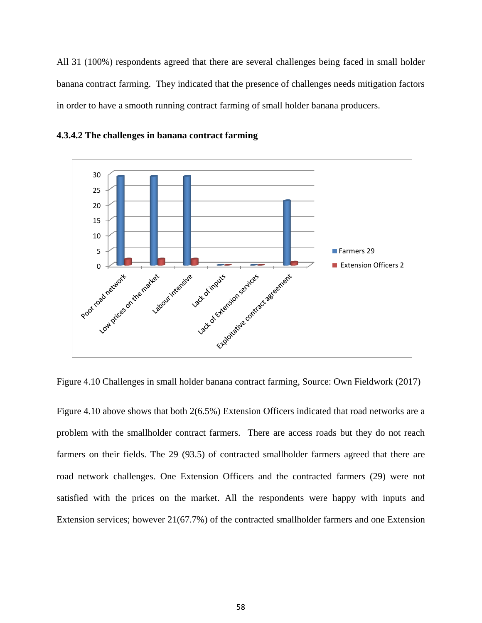All 31 (100%) respondents agreed that there are several challenges being faced in small holder banana contract farming. They indicated that the presence of challenges needs mitigation factors in order to have a smooth running contract farming of small holder banana producers.





Figure 4.10 Challenges in small holder banana contract farming, Source: Own Fieldwork (2017)

Figure 4.10 above shows that both 2(6.5%) Extension Officers indicated that road networks are a problem with the smallholder contract farmers. There are access roads but they do not reach farmers on their fields. The 29 (93.5) of contracted smallholder farmers agreed that there are road network challenges. One Extension Officers and the contracted farmers (29) were not satisfied with the prices on the market. All the respondents were happy with inputs and Extension services; however 21(67.7%) of the contracted smallholder farmers and one Extension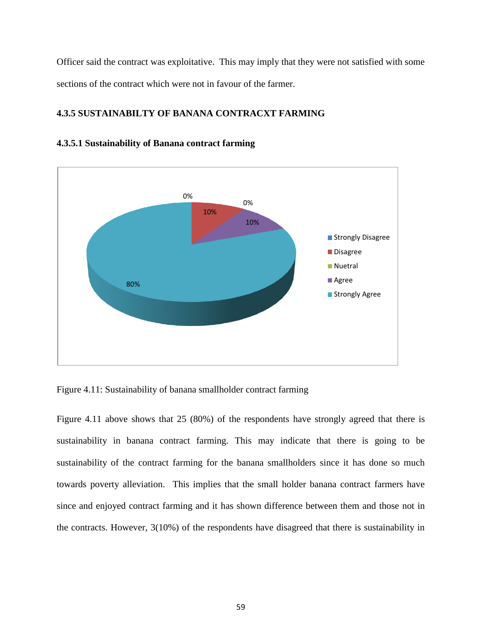Officer said the contract was exploitative. This may imply that they were not satisfied with some sections of the contract which were not in favour of the farmer.

# **4.3.5 SUSTAINABILTY OF BANANA CONTRACXT FARMING**





Figure 4.11: Sustainability of banana smallholder contract farming

Figure 4.11 above shows that 25 (80%) of the respondents have strongly agreed that there is sustainability in banana contract farming. This may indicate that there is going to be sustainability of the contract farming for the banana smallholders since it has done so much towards poverty alleviation. This implies that the small holder banana contract farmers have since and enjoyed contract farming and it has shown difference between them and those not in the contracts. However, 3(10%) of the respondents have disagreed that there is sustainability in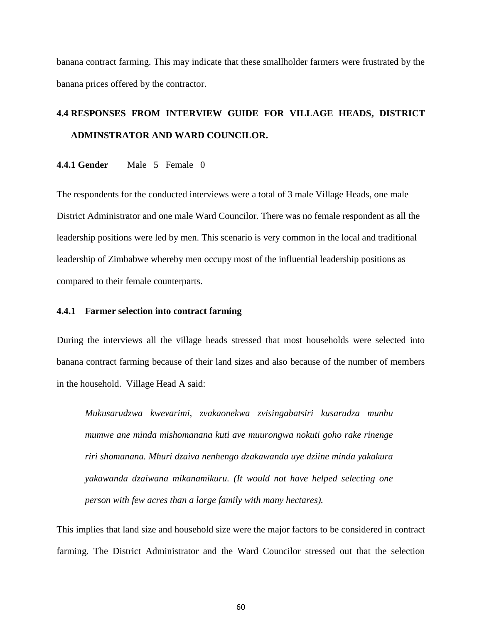banana contract farming. This may indicate that these smallholder farmers were frustrated by the banana prices offered by the contractor.

# **4.4 RESPONSES FROM INTERVIEW GUIDE FOR VILLAGE HEADS, DISTRICT ADMINSTRATOR AND WARD COUNCILOR.**

**4.4.1 Gender** Male 5 Female 0

The respondents for the conducted interviews were a total of 3 male Village Heads, one male District Administrator and one male Ward Councilor. There was no female respondent as all the leadership positions were led by men. This scenario is very common in the local and traditional leadership of Zimbabwe whereby men occupy most of the influential leadership positions as compared to their female counterparts.

### **4.4.1 Farmer selection into contract farming**

During the interviews all the village heads stressed that most households were selected into banana contract farming because of their land sizes and also because of the number of members in the household. Village Head A said:

*Mukusarudzwa kwevarimi, zvakaonekwa zvisingabatsiri kusarudza munhu mumwe ane minda mishomanana kuti ave muurongwa nokuti goho rake rinenge riri shomanana. Mhuri dzaiva nenhengo dzakawanda uye dziine minda yakakura yakawanda dzaiwana mikanamikuru. (It would not have helped selecting one person with few acres than a large family with many hectares).*

This implies that land size and household size were the major factors to be considered in contract farming. The District Administrator and the Ward Councilor stressed out that the selection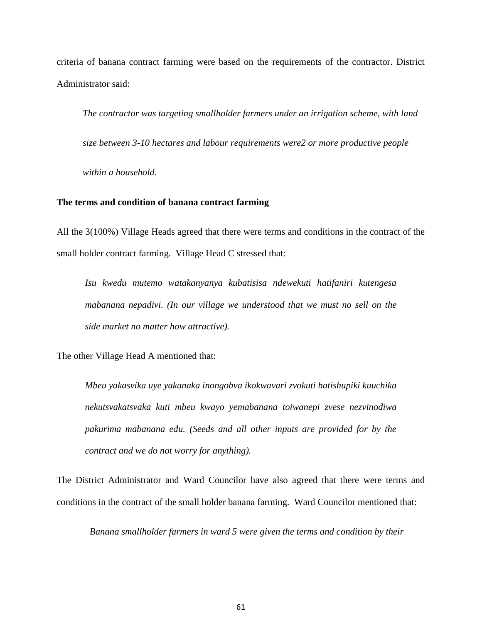criteria of banana contract farming were based on the requirements of the contractor. District Administrator said:

*The contractor was targeting smallholder farmers under an irrigation scheme, with land* 

 *size between 3-10 hectares and labour requirements were2 or more productive people* 

 *within a household.* 

#### **The terms and condition of banana contract farming**

All the 3(100%) Village Heads agreed that there were terms and conditions in the contract of the small holder contract farming. Village Head C stressed that:

*Isu kwedu mutemo watakanyanya kubatisisa ndewekuti hatifaniri kutengesa mabanana nepadivi. (In our village we understood that we must no sell on the side market no matter how attractive).*

The other Village Head A mentioned that:

*Mbeu yakasvika uye yakanaka inongobva ikokwavari zvokuti hatishupiki kuuchika nekutsvakatsvaka kuti mbeu kwayo yemabanana toiwanepi zvese nezvinodiwa pakurima mabanana edu. (Seeds and all other inputs are provided for by the contract and we do not worry for anything).*

The District Administrator and Ward Councilor have also agreed that there were terms and conditions in the contract of the small holder banana farming. Ward Councilor mentioned that:

*Banana smallholder farmers in ward 5 were given the terms and condition by their*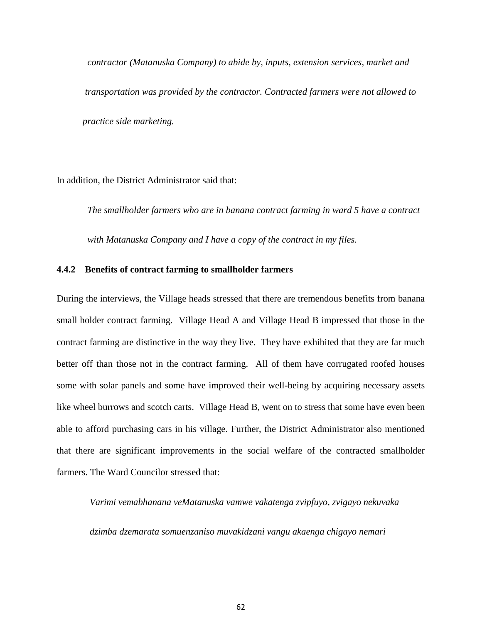*contractor (Matanuska Company) to abide by, inputs, extension services, market and transportation was provided by the contractor. Contracted farmers were not allowed to practice side marketing.*

In addition, the District Administrator said that:

 *The smallholder farmers who are in banana contract farming in ward 5 have a contract with Matanuska Company and I have a copy of the contract in my files.*

### **4.4.2 Benefits of contract farming to smallholder farmers**

During the interviews, the Village heads stressed that there are tremendous benefits from banana small holder contract farming. Village Head A and Village Head B impressed that those in the contract farming are distinctive in the way they live. They have exhibited that they are far much better off than those not in the contract farming. All of them have corrugated roofed houses some with solar panels and some have improved their well-being by acquiring necessary assets like wheel burrows and scotch carts. Village Head B, went on to stress that some have even been able to afford purchasing cars in his village. Further, the District Administrator also mentioned that there are significant improvements in the social welfare of the contracted smallholder farmers. The Ward Councilor stressed that:

*Varimi vemabhanana veMatanuska vamwe vakatenga zvipfuyo, zvigayo nekuvaka*

 *dzimba dzemarata somuenzaniso muvakidzani vangu akaenga chigayo nemari*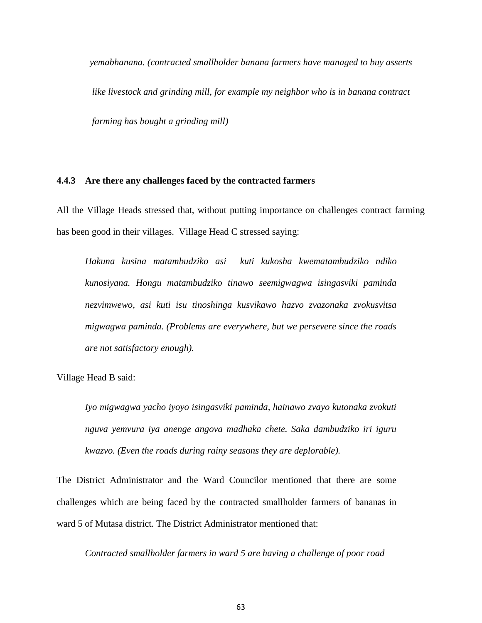*yemabhanana. (contracted smallholder banana farmers have managed to buy asserts like livestock and grinding mill, for example my neighbor who is in banana contract farming has bought a grinding mill)*

#### **4.4.3 Are there any challenges faced by the contracted farmers**

All the Village Heads stressed that, without putting importance on challenges contract farming has been good in their villages. Village Head C stressed saying:

*Hakuna kusina matambudziko asi kuti kukosha kwematambudziko ndiko kunosiyana. Hongu matambudziko tinawo seemigwagwa isingasviki paminda nezvimwewo, asi kuti isu tinoshinga kusvikawo hazvo zvazonaka zvokusvitsa migwagwa paminda. (Problems are everywhere, but we persevere since the roads are not satisfactory enough).*

Village Head B said:

*Iyo migwagwa yacho iyoyo isingasviki paminda, hainawo zvayo kutonaka zvokuti nguva yemvura iya anenge angova madhaka chete. Saka dambudziko iri iguru kwazvo. (Even the roads during rainy seasons they are deplorable).*

The District Administrator and the Ward Councilor mentioned that there are some challenges which are being faced by the contracted smallholder farmers of bananas in ward 5 of Mutasa district. The District Administrator mentioned that:

*Contracted smallholder farmers in ward 5 are having a challenge of poor road*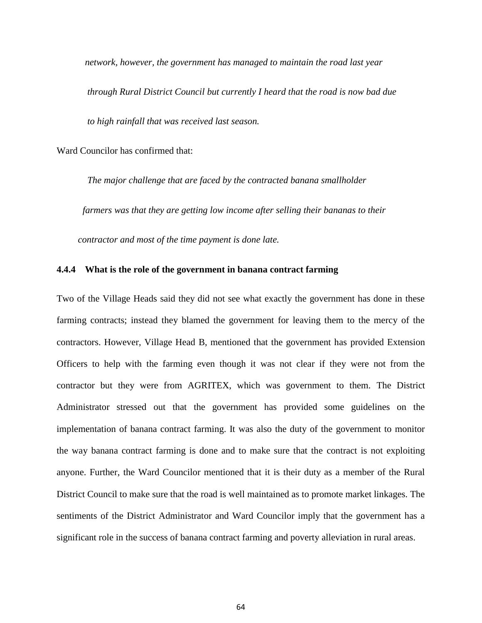*network, however, the government has managed to maintain the road last year* 

 *through Rural District Council but currently I heard that the road is now bad due to high rainfall that was received last season.*

Ward Councilor has confirmed that:

 *The major challenge that are faced by the contracted banana smallholder farmers was that they are getting low income after selling their bananas to their*

 *contractor and most of the time payment is done late.* 

### **4.4.4 What is the role of the government in banana contract farming**

Two of the Village Heads said they did not see what exactly the government has done in these farming contracts; instead they blamed the government for leaving them to the mercy of the contractors. However, Village Head B, mentioned that the government has provided Extension Officers to help with the farming even though it was not clear if they were not from the contractor but they were from AGRITEX, which was government to them. The District Administrator stressed out that the government has provided some guidelines on the implementation of banana contract farming. It was also the duty of the government to monitor the way banana contract farming is done and to make sure that the contract is not exploiting anyone. Further, the Ward Councilor mentioned that it is their duty as a member of the Rural District Council to make sure that the road is well maintained as to promote market linkages. The sentiments of the District Administrator and Ward Councilor imply that the government has a significant role in the success of banana contract farming and poverty alleviation in rural areas.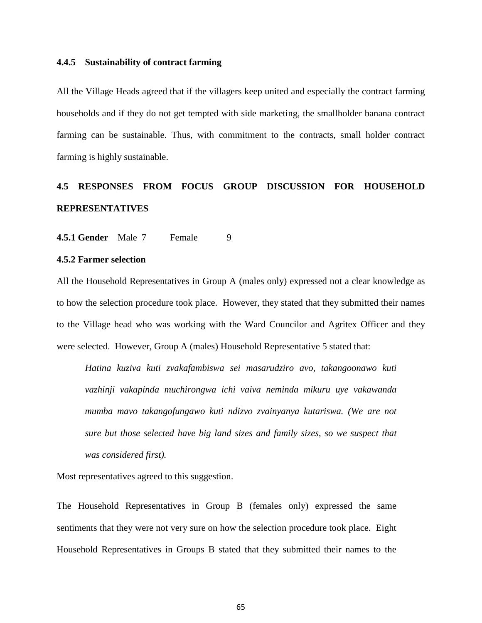#### **4.4.5 Sustainability of contract farming**

All the Village Heads agreed that if the villagers keep united and especially the contract farming households and if they do not get tempted with side marketing, the smallholder banana contract farming can be sustainable. Thus, with commitment to the contracts, small holder contract farming is highly sustainable.

# **4.5 RESPONSES FROM FOCUS GROUP DISCUSSION FOR HOUSEHOLD REPRESENTATIVES**

**4.5.1 Gender** Male 7 Female 9

### **4.5.2 Farmer selection**

All the Household Representatives in Group A (males only) expressed not a clear knowledge as to how the selection procedure took place. However, they stated that they submitted their names to the Village head who was working with the Ward Councilor and Agritex Officer and they were selected. However, Group A (males) Household Representative 5 stated that:

*Hatina kuziva kuti zvakafambiswa sei masarudziro avo, takangoonawo kuti vazhinji vakapinda muchirongwa ichi vaiva neminda mikuru uye vakawanda mumba mavo takangofungawo kuti ndizvo zvainyanya kutariswa. (We are not sure but those selected have big land sizes and family sizes, so we suspect that was considered first).*

Most representatives agreed to this suggestion.

The Household Representatives in Group B (females only) expressed the same sentiments that they were not very sure on how the selection procedure took place. Eight Household Representatives in Groups B stated that they submitted their names to the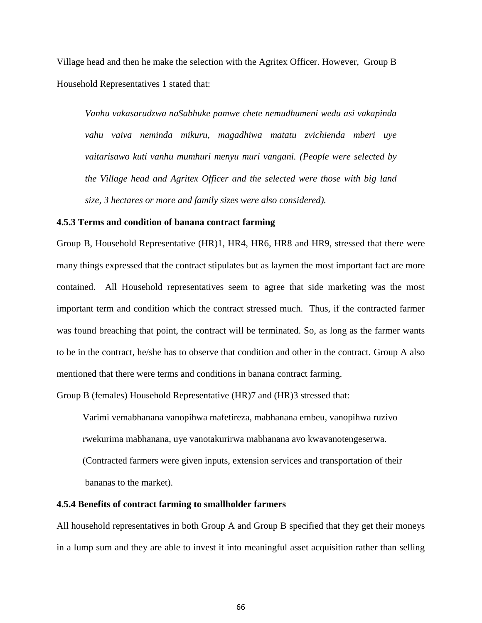Village head and then he make the selection with the Agritex Officer. However, Group B Household Representatives 1 stated that:

*Vanhu vakasarudzwa naSabhuke pamwe chete nemudhumeni wedu asi vakapinda vahu vaiva neminda mikuru, magadhiwa matatu zvichienda mberi uye vaitarisawo kuti vanhu mumhuri menyu muri vangani. (People were selected by the Village head and Agritex Officer and the selected were those with big land size, 3 hectares or more and family sizes were also considered).*

### **4.5.3 Terms and condition of banana contract farming**

Group B, Household Representative (HR)1, HR4, HR6, HR8 and HR9, stressed that there were many things expressed that the contract stipulates but as laymen the most important fact are more contained. All Household representatives seem to agree that side marketing was the most important term and condition which the contract stressed much. Thus, if the contracted farmer was found breaching that point, the contract will be terminated. So, as long as the farmer wants to be in the contract, he/she has to observe that condition and other in the contract. Group A also mentioned that there were terms and conditions in banana contract farming.

Group B (females) Household Representative (HR)7 and (HR)3 stressed that:

 Varimi vemabhanana vanopihwa mafetireza, mabhanana embeu, vanopihwa ruzivo rwekurima mabhanana, uye vanotakurirwa mabhanana avo kwavanotengeserwa. (Contracted farmers were given inputs, extension services and transportation of their bananas to the market).

#### **4.5.4 Benefits of contract farming to smallholder farmers**

All household representatives in both Group A and Group B specified that they get their moneys in a lump sum and they are able to invest it into meaningful asset acquisition rather than selling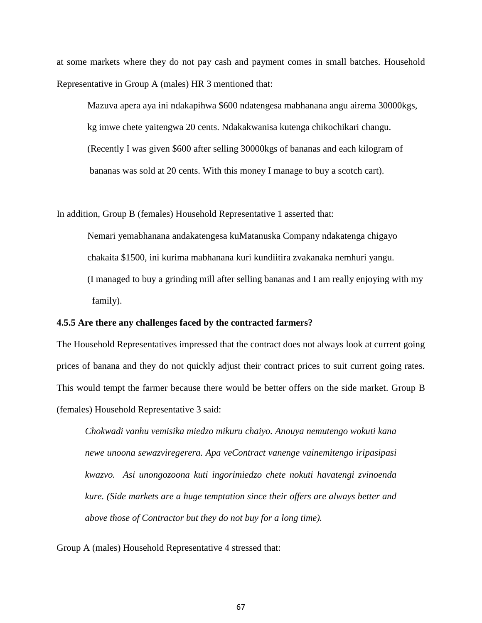at some markets where they do not pay cash and payment comes in small batches. Household Representative in Group A (males) HR 3 mentioned that:

 Mazuva apera aya ini ndakapihwa \$600 ndatengesa mabhanana angu airema 30000kgs, kg imwe chete yaitengwa 20 cents. Ndakakwanisa kutenga chikochikari changu. (Recently I was given \$600 after selling 30000kgs of bananas and each kilogram of bananas was sold at 20 cents. With this money I manage to buy a scotch cart).

In addition, Group B (females) Household Representative 1 asserted that:

 Nemari yemabhanana andakatengesa kuMatanuska Company ndakatenga chigayo chakaita \$1500, ini kurima mabhanana kuri kundiitira zvakanaka nemhuri yangu. (I managed to buy a grinding mill after selling bananas and I am really enjoying with my family).

### **4.5.5 Are there any challenges faced by the contracted farmers?**

The Household Representatives impressed that the contract does not always look at current going prices of banana and they do not quickly adjust their contract prices to suit current going rates. This would tempt the farmer because there would be better offers on the side market. Group B (females) Household Representative 3 said:

*Chokwadi vanhu vemisika miedzo mikuru chaiyo. Anouya nemutengo wokuti kana newe unoona sewazviregerera. Apa veContract vanenge vainemitengo iripasipasi kwazvo. Asi unongozoona kuti ingorimiedzo chete nokuti havatengi zvinoenda kure. (Side markets are a huge temptation since their offers are always better and above those of Contractor but they do not buy for a long time).*

Group A (males) Household Representative 4 stressed that: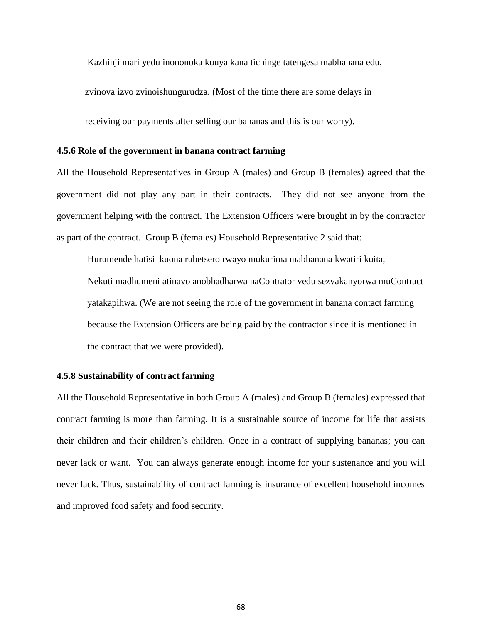Kazhinji mari yedu inononoka kuuya kana tichinge tatengesa mabhanana edu,

zvinova izvo zvinoishungurudza. (Most of the time there are some delays in

receiving our payments after selling our bananas and this is our worry).

#### **4.5.6 Role of the government in banana contract farming**

All the Household Representatives in Group A (males) and Group B (females) agreed that the government did not play any part in their contracts. They did not see anyone from the government helping with the contract. The Extension Officers were brought in by the contractor as part of the contract. Group B (females) Household Representative 2 said that:

 Hurumende hatisi kuona rubetsero rwayo mukurima mabhanana kwatiri kuita, Nekuti madhumeni atinavo anobhadharwa naContrator vedu sezvakanyorwa muContract yatakapihwa. (We are not seeing the role of the government in banana contact farming because the Extension Officers are being paid by the contractor since it is mentioned in the contract that we were provided).

### **4.5.8 Sustainability of contract farming**

All the Household Representative in both Group A (males) and Group B (females) expressed that contract farming is more than farming. It is a sustainable source of income for life that assists their children and their children's children. Once in a contract of supplying bananas; you can never lack or want. You can always generate enough income for your sustenance and you will never lack. Thus, sustainability of contract farming is insurance of excellent household incomes and improved food safety and food security.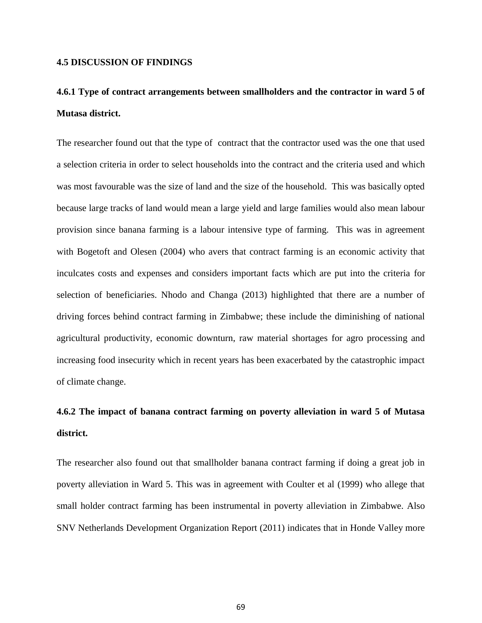### **4.5 DISCUSSION OF FINDINGS**

# **4.6.1 Type of contract arrangements between smallholders and the contractor in ward 5 of Mutasa district.**

The researcher found out that the type of contract that the contractor used was the one that used a selection criteria in order to select households into the contract and the criteria used and which was most favourable was the size of land and the size of the household. This was basically opted because large tracks of land would mean a large yield and large families would also mean labour provision since banana farming is a labour intensive type of farming. This was in agreement with Bogetoft and Olesen (2004) who avers that contract farming is an economic activity that inculcates costs and expenses and considers important facts which are put into the criteria for selection of beneficiaries. Nhodo and Changa (2013) highlighted that there are a number of driving forces behind contract farming in Zimbabwe; these include the diminishing of national agricultural productivity, economic downturn, raw material shortages for agro processing and increasing food insecurity which in recent years has been exacerbated by the catastrophic impact of climate change.

# **4.6.2 The impact of banana contract farming on poverty alleviation in ward 5 of Mutasa district.**

The researcher also found out that smallholder banana contract farming if doing a great job in poverty alleviation in Ward 5. This was in agreement with Coulter et al (1999) who allege that small holder contract farming has been instrumental in poverty alleviation in Zimbabwe. Also SNV Netherlands Development Organization Report (2011) indicates that in Honde Valley more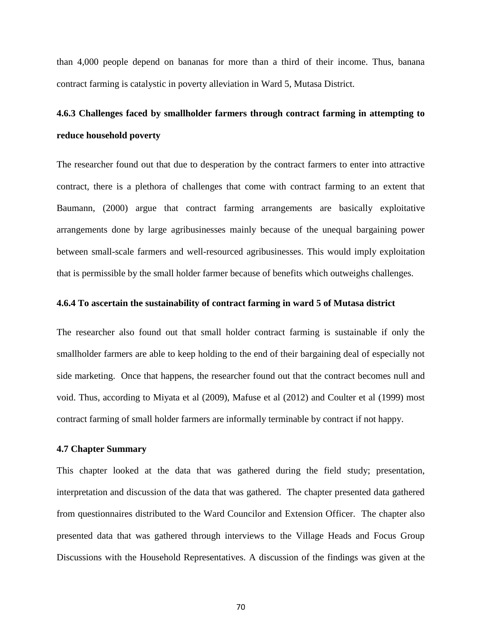than 4,000 people depend on bananas for more than a third of their income. Thus, banana contract farming is catalystic in poverty alleviation in Ward 5, Mutasa District.

# **4.6.3 Challenges faced by smallholder farmers through contract farming in attempting to reduce household poverty**

The researcher found out that due to desperation by the contract farmers to enter into attractive contract, there is a plethora of challenges that come with contract farming to an extent that Baumann, (2000) argue that contract farming arrangements are basically exploitative arrangements done by large agribusinesses mainly because of the unequal bargaining power between small-scale farmers and well-resourced agribusinesses. This would imply exploitation that is permissible by the small holder farmer because of benefits which outweighs challenges.

### **4.6.4 To ascertain the sustainability of contract farming in ward 5 of Mutasa district**

The researcher also found out that small holder contract farming is sustainable if only the smallholder farmers are able to keep holding to the end of their bargaining deal of especially not side marketing. Once that happens, the researcher found out that the contract becomes null and void. Thus, according to Miyata et al (2009), Mafuse et al (2012) and Coulter et al (1999) most contract farming of small holder farmers are informally terminable by contract if not happy.

#### **4.7 Chapter Summary**

This chapter looked at the data that was gathered during the field study; presentation, interpretation and discussion of the data that was gathered. The chapter presented data gathered from questionnaires distributed to the Ward Councilor and Extension Officer. The chapter also presented data that was gathered through interviews to the Village Heads and Focus Group Discussions with the Household Representatives. A discussion of the findings was given at the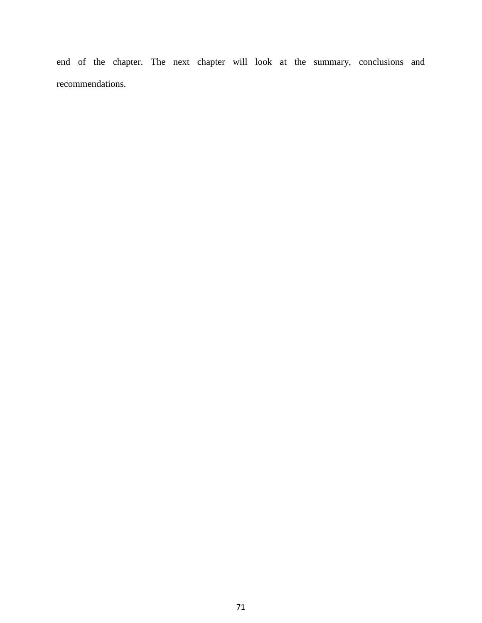end of the chapter. The next chapter will look at the summary, conclusions and recommendations.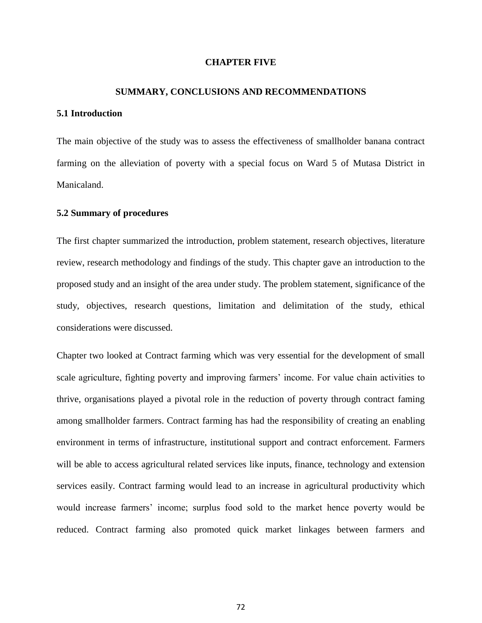#### **CHAPTER FIVE**

### **SUMMARY, CONCLUSIONS AND RECOMMENDATIONS**

#### **5.1 Introduction**

The main objective of the study was to assess the effectiveness of smallholder banana contract farming on the alleviation of poverty with a special focus on Ward 5 of Mutasa District in Manicaland.

#### **5.2 Summary of procedures**

The first chapter summarized the introduction, problem statement, research objectives, literature review, research methodology and findings of the study. This chapter gave an introduction to the proposed study and an insight of the area under study. The problem statement, significance of the study, objectives, research questions, limitation and delimitation of the study, ethical considerations were discussed.

Chapter two looked at Contract farming which was very essential for the development of small scale agriculture, fighting poverty and improving farmers' income. For value chain activities to thrive, organisations played a pivotal role in the reduction of poverty through contract faming among smallholder farmers. Contract farming has had the responsibility of creating an enabling environment in terms of infrastructure, institutional support and contract enforcement. Farmers will be able to access agricultural related services like inputs, finance, technology and extension services easily. Contract farming would lead to an increase in agricultural productivity which would increase farmers' income; surplus food sold to the market hence poverty would be reduced. Contract farming also promoted quick market linkages between farmers and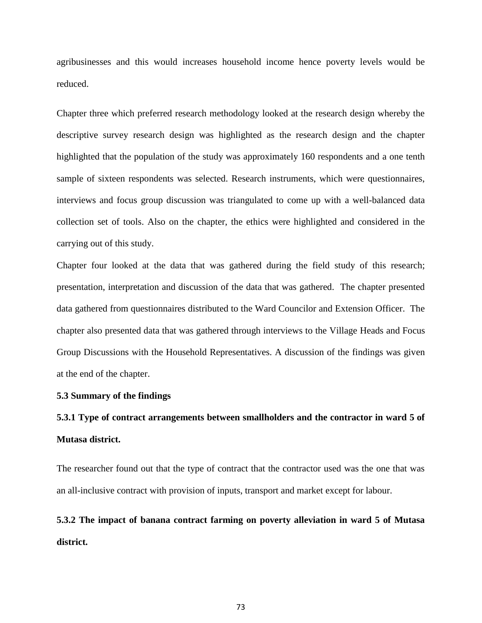agribusinesses and this would increases household income hence poverty levels would be reduced.

Chapter three which preferred research methodology looked at the research design whereby the descriptive survey research design was highlighted as the research design and the chapter highlighted that the population of the study was approximately 160 respondents and a one tenth sample of sixteen respondents was selected. Research instruments, which were questionnaires, interviews and focus group discussion was triangulated to come up with a well-balanced data collection set of tools. Also on the chapter, the ethics were highlighted and considered in the carrying out of this study.

Chapter four looked at the data that was gathered during the field study of this research; presentation, interpretation and discussion of the data that was gathered. The chapter presented data gathered from questionnaires distributed to the Ward Councilor and Extension Officer. The chapter also presented data that was gathered through interviews to the Village Heads and Focus Group Discussions with the Household Representatives. A discussion of the findings was given at the end of the chapter.

#### **5.3 Summary of the findings**

# **5.3.1 Type of contract arrangements between smallholders and the contractor in ward 5 of Mutasa district.**

The researcher found out that the type of contract that the contractor used was the one that was an all-inclusive contract with provision of inputs, transport and market except for labour.

**5.3.2 The impact of banana contract farming on poverty alleviation in ward 5 of Mutasa district.**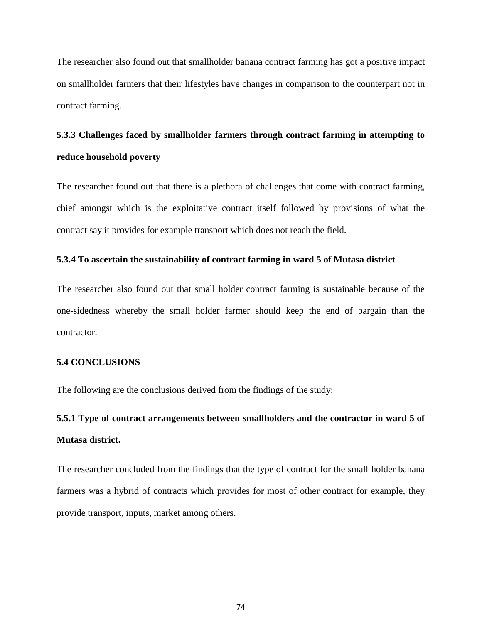The researcher also found out that smallholder banana contract farming has got a positive impact on smallholder farmers that their lifestyles have changes in comparison to the counterpart not in contract farming.

# **5.3.3 Challenges faced by smallholder farmers through contract farming in attempting to reduce household poverty**

The researcher found out that there is a plethora of challenges that come with contract farming, chief amongst which is the exploitative contract itself followed by provisions of what the contract say it provides for example transport which does not reach the field.

### **5.3.4 To ascertain the sustainability of contract farming in ward 5 of Mutasa district**

The researcher also found out that small holder contract farming is sustainable because of the one-sidedness whereby the small holder farmer should keep the end of bargain than the contractor.

### **5.4 CONCLUSIONS**

The following are the conclusions derived from the findings of the study:

# **5.5.1 Type of contract arrangements between smallholders and the contractor in ward 5 of Mutasa district.**

The researcher concluded from the findings that the type of contract for the small holder banana farmers was a hybrid of contracts which provides for most of other contract for example, they provide transport, inputs, market among others.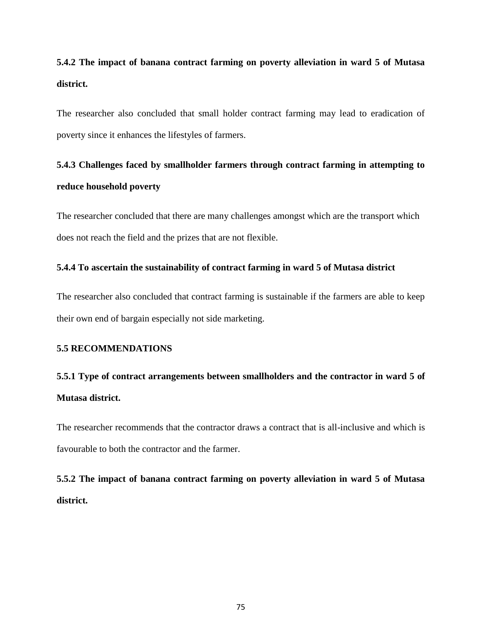# **5.4.2 The impact of banana contract farming on poverty alleviation in ward 5 of Mutasa district.**

The researcher also concluded that small holder contract farming may lead to eradication of poverty since it enhances the lifestyles of farmers.

# **5.4.3 Challenges faced by smallholder farmers through contract farming in attempting to reduce household poverty**

The researcher concluded that there are many challenges amongst which are the transport which does not reach the field and the prizes that are not flexible.

### **5.4.4 To ascertain the sustainability of contract farming in ward 5 of Mutasa district**

The researcher also concluded that contract farming is sustainable if the farmers are able to keep their own end of bargain especially not side marketing.

### **5.5 RECOMMENDATIONS**

# **5.5.1 Type of contract arrangements between smallholders and the contractor in ward 5 of Mutasa district.**

The researcher recommends that the contractor draws a contract that is all-inclusive and which is favourable to both the contractor and the farmer.

**5.5.2 The impact of banana contract farming on poverty alleviation in ward 5 of Mutasa district.**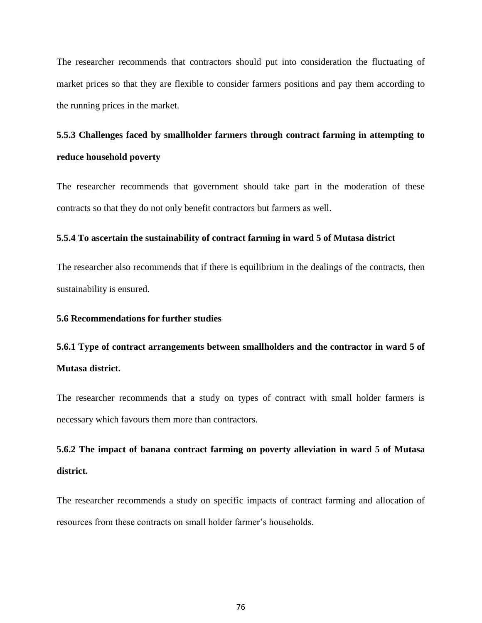The researcher recommends that contractors should put into consideration the fluctuating of market prices so that they are flexible to consider farmers positions and pay them according to the running prices in the market.

# **5.5.3 Challenges faced by smallholder farmers through contract farming in attempting to reduce household poverty**

The researcher recommends that government should take part in the moderation of these contracts so that they do not only benefit contractors but farmers as well.

### **5.5.4 To ascertain the sustainability of contract farming in ward 5 of Mutasa district**

The researcher also recommends that if there is equilibrium in the dealings of the contracts, then sustainability is ensured.

#### **5.6 Recommendations for further studies**

# **5.6.1 Type of contract arrangements between smallholders and the contractor in ward 5 of Mutasa district.**

The researcher recommends that a study on types of contract with small holder farmers is necessary which favours them more than contractors.

# **5.6.2 The impact of banana contract farming on poverty alleviation in ward 5 of Mutasa district.**

The researcher recommends a study on specific impacts of contract farming and allocation of resources from these contracts on small holder farmer's households.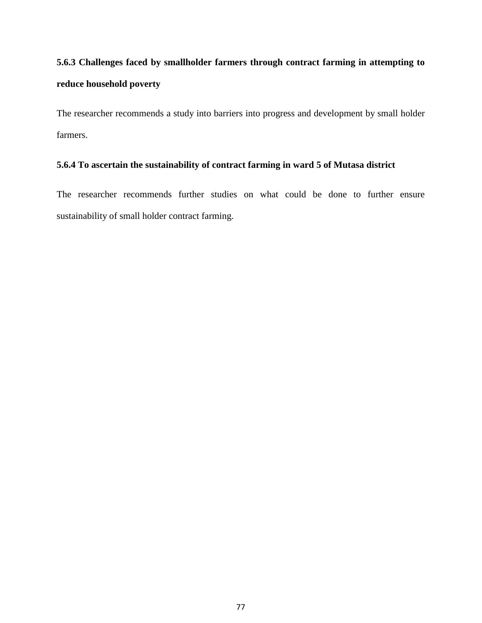# **5.6.3 Challenges faced by smallholder farmers through contract farming in attempting to reduce household poverty**

The researcher recommends a study into barriers into progress and development by small holder farmers.

### **5.6.4 To ascertain the sustainability of contract farming in ward 5 of Mutasa district**

The researcher recommends further studies on what could be done to further ensure sustainability of small holder contract farming.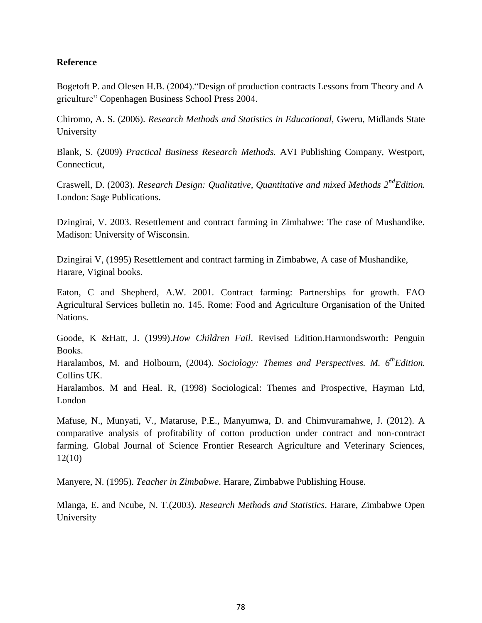# **Reference**

Bogetoft P. and Olesen H.B. (2004)."Design of production contracts Lessons from Theory and A griculture" Copenhagen Business School Press 2004.

Chiromo, A. S. (2006). *Research Methods and Statistics in Educational,* Gweru, Midlands State University

Blank, S. (2009) *Practical Business Research Methods.* AVI Publishing Company, Westport, Connecticut,

Craswell, D. (2003). *Research Design: Qualitative, Quantitative and mixed Methods 2ndEdition.* London: Sage Publications.

Dzingirai, V. 2003. Resettlement and contract farming in Zimbabwe: The case of Mushandike. Madison: University of Wisconsin.

Dzingirai V, (1995) Resettlement and contract farming in Zimbabwe, A case of Mushandike, Harare, Viginal books.

Eaton, C and Shepherd, A.W. 2001. Contract farming: Partnerships for growth. FAO Agricultural Services bulletin no. 145. Rome: Food and Agriculture Organisation of the United Nations.

Goode, K &Hatt, J. (1999).*How Children Fail*. Revised Edition.Harmondsworth: Penguin Books.

Haralambos, M. and Holbourn, (2004). *Sociology: Themes and Perspectives. M. 6thEdition.* Collins UK.

Haralambos. M and Heal. R, (1998) Sociological: Themes and Prospective, Hayman Ltd, London

Mafuse, N., Munyati, V., Mataruse, P.E., Manyumwa, D. and Chimvuramahwe, J. (2012). A comparative analysis of profitability of cotton production under contract and non-contract farming. Global Journal of Science Frontier Research Agriculture and Veterinary Sciences, 12(10)

Manyere, N. (1995). *Teacher in Zimbabwe*. Harare, Zimbabwe Publishing House.

Mlanga, E. and Ncube, N. T.(2003). *Research Methods and Statistics*. Harare, Zimbabwe Open University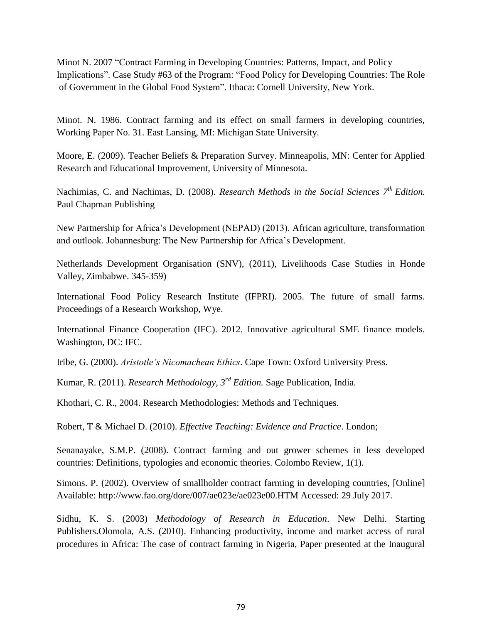Minot N. 2007 "Contract Farming in Developing Countries: Patterns, Impact, and Policy Implications". Case Study #63 of the Program: "Food Policy for Developing Countries: The Role of Government in the Global Food System". Ithaca: Cornell University, New York.

Minot. N. 1986. Contract farming and its effect on small farmers in developing countries, Working Paper No. 31. East Lansing, MI: Michigan State University.

Moore, E. (2009). Teacher Beliefs & Preparation Survey. Minneapolis, MN: Center for Applied Research and Educational Improvement, University of Minnesota.

Nachimias, C. and Nachimas, D. (2008). *Research Methods in the Social Sciences 7th Edition.* Paul Chapman Publishing

New Partnership for Africa's Development (NEPAD) (2013). African agriculture, transformation and outlook. Johannesburg: The New Partnership for Africa's Development.

Netherlands Development Organisation (SNV), (2011), Livelihoods Case Studies in Honde Valley, Zimbabwe. 345-359)

International Food Policy Research Institute (IFPRI). 2005. The future of small farms. Proceedings of a Research Workshop, Wye.

International Finance Cooperation (IFC). 2012. Innovative agricultural SME finance models. Washington, DC: IFC.

Iribe, G. (2000). *Aristotle's Nicomachean Ethics*. Cape Town: Oxford University Press.

Kumar, R. (2011). *Research Methodology, 3rd Edition.* Sage Publication, India.

Khothari, C. R., 2004. Research Methodologies: Methods and Techniques.

Robert, T & Michael D. (2010). *Effective Teaching: Evidence and Practice*. London;

Senanayake, S.M.P. (2008). Contract farming and out grower schemes in less developed countries: Definitions, typologies and economic theories. Colombo Review, 1(1).

Simons. P. (2002). Overview of smallholder contract farming in developing countries, [Online] Available: http://www.fao.org/dore/007/ae023e/ae023e00.HTM Accessed: 29 July 2017.

Sidhu, K. S. (2003) *Methodology of Research in Education*. New Delhi. Starting Publishers.Olomola, A.S. (2010). Enhancing productivity, income and market access of rural procedures in Africa: The case of contract farming in Nigeria, Paper presented at the Inaugural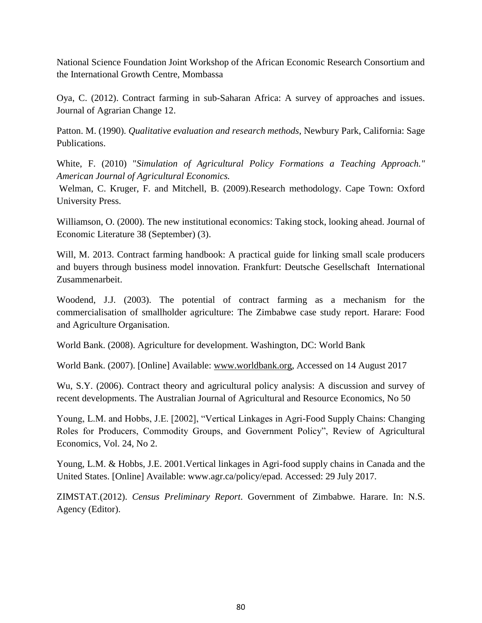National Science Foundation Joint Workshop of the African Economic Research Consortium and the International Growth Centre, Mombassa

Oya, C. (2012). Contract farming in sub-Saharan Africa: A survey of approaches and issues. Journal of Agrarian Change 12.

Patton. M. (1990). *Qualitative evaluation and research methods*, Newbury Park, California: Sage Publications.

White, F. (2010) "*Simulation of Agricultural Policy Formations a Teaching Approach." American Journal of Agricultural Economics.*

Welman, C. Kruger, F. and Mitchell, B. (2009).Research methodology. Cape Town: Oxford University Press.

Williamson, O. (2000). The new institutional economics: Taking stock, looking ahead. Journal of Economic Literature 38 (September) (3).

Will, M. 2013. Contract farming handbook: A practical guide for linking small scale producers and buyers through business model innovation. Frankfurt: Deutsche Gesellschaft International Zusammenarbeit.

Woodend, J.J. (2003). The potential of contract farming as a mechanism for the commercialisation of smallholder agriculture: The Zimbabwe case study report. Harare: Food and Agriculture Organisation.

World Bank. (2008). Agriculture for development. Washington, DC: World Bank

World Bank. (2007). [Online] Available: [www.worldbank.org,](http://www.worldbank.org/) Accessed on 14 August 2017

Wu, S.Y. (2006). Contract theory and agricultural policy analysis: A discussion and survey of recent developments. The Australian Journal of Agricultural and Resource Economics, No 50

Young, L.M. and Hobbs, J.E. [2002], "Vertical Linkages in Agri-Food Supply Chains: Changing Roles for Producers, Commodity Groups, and Government Policy", Review of Agricultural Economics, Vol. 24, No 2.

Young, L.M. & Hobbs, J.E. 2001.Vertical linkages in Agri-food supply chains in Canada and the United States. [Online] Available: www.agr.ca/policy/epad. Accessed: 29 July 2017.

ZIMSTAT.(2012). *Census Preliminary Report*. Government of Zimbabwe. Harare. In: N.S. Agency (Editor).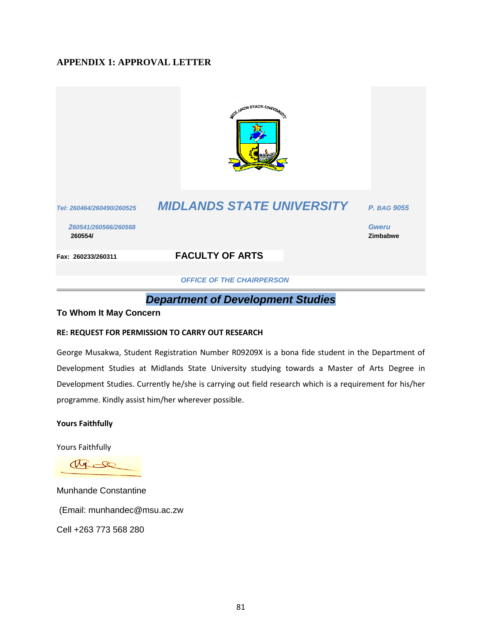# **APPENDIX 1: APPROVAL LETTER**



 *OFFICE OF THE CHAIRPERSON*

# *Department of Development Studies*

### **To Whom It May Concern**

#### **RE: REQUEST FOR PERMISSION TO CARRY OUT RESEARCH**

George Musakwa, Student Registration Number R09209X is a bona fide student in the Department of Development Studies at Midlands State University studying towards a Master of Arts Degree in Development Studies. Currently he/she is carrying out field research which is a requirement for his/her programme. Kindly assist him/her wherever possible.

#### **Yours Faithfully**

Yours Faithfully

 $\infty$ 

Munhande Constantine (Email: munhandec@msu.ac.zw Cell +263 773 568 280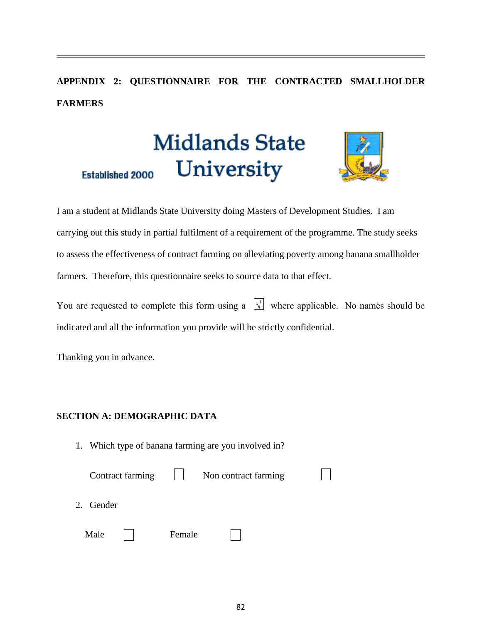# **APPENDIX 2: QUESTIONNAIRE FOR THE CONTRACTED SMALLHOLDER FARMERS**

# **Midlands State** University



**Established 2000** 

I am a student at Midlands State University doing Masters of Development Studies. I am carrying out this study in partial fulfilment of a requirement of the programme. The study seeks to assess the effectiveness of contract farming on alleviating poverty among banana smallholder farmers. Therefore, this questionnaire seeks to source data to that effect.

You are requested to complete this form using a  $\sqrt{ }$  where applicable. No names should be indicated and all the information you provide will be strictly confidential.

Thanking you in advance.

# **SECTION A: DEMOGRAPHIC DATA**

1. Which type of banana farming are you involved in?

|           | Contract farming |        | Non contract farming |  |
|-----------|------------------|--------|----------------------|--|
| 2. Gender |                  |        |                      |  |
| Male      |                  | Female |                      |  |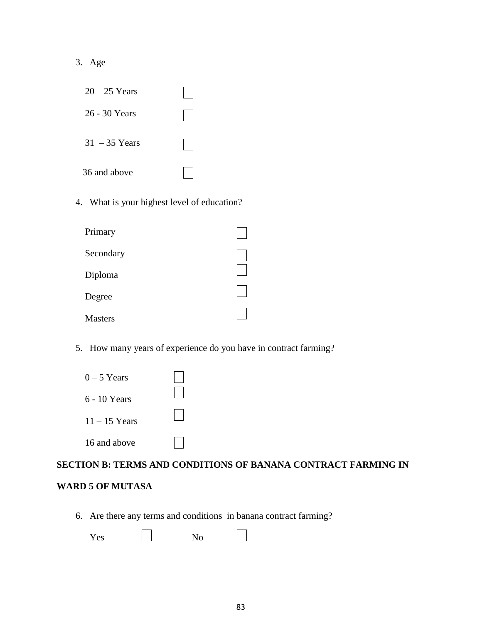# 3. Age

| $20 - 25$ Years |  |
|-----------------|--|
| 26 - 30 Years   |  |
| $31 - 35$ Years |  |
| 36 and above    |  |

4. What is your highest level of education?

| Primary        |  |
|----------------|--|
| Secondary      |  |
| Diploma        |  |
| Degree         |  |
| <b>Masters</b> |  |

5. How many years of experience do you have in contract farming?

| $0-5$ Years     |  |
|-----------------|--|
| 6 - 10 Years    |  |
| $11 - 15$ Years |  |
| 16 and above    |  |

# **SECTION B: TERMS AND CONDITIONS OF BANANA CONTRACT FARMING IN**

# **WARD 5 OF MUTASA**

6. Are there any terms and conditions in banana contract farming?

| Yes<br>- - | N <sub>o</sub> |
|------------|----------------|
|------------|----------------|

 $\Box$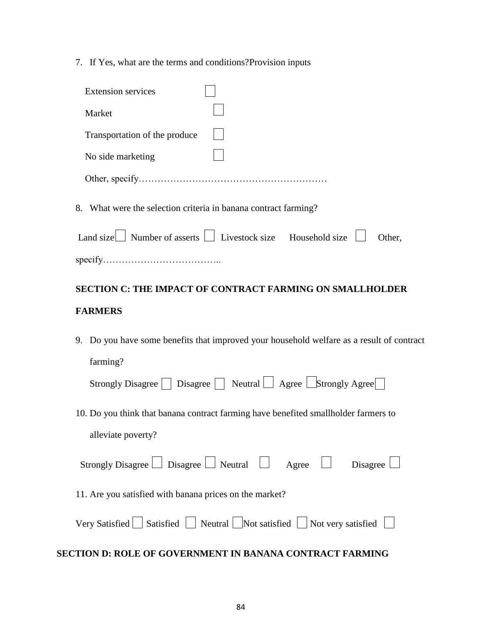7. If Yes, what are the terms and conditions?Provision inputs

| <b>Extension services</b>                                               |  |        |
|-------------------------------------------------------------------------|--|--------|
| Market                                                                  |  |        |
| Transportation of the produce                                           |  |        |
| No side marketing                                                       |  |        |
|                                                                         |  |        |
| What were the selection criteria in banana contract farming?<br>8.      |  |        |
| Land size $\Box$ Number of asserts $\Box$ Livestock size Household size |  | Other. |
| specify                                                                 |  |        |

# **SECTION C: THE IMPACT OF CONTRACT FARMING ON SMALLHOLDER FARMERS**

9. Do you have some benefits that improved your household welfare as a result of contract farming?

| Strongly Disagree $\Box$ Disagree $\Box$ Neutral $\Box$ Agree $\Box$ Strongly Agree |  |
|-------------------------------------------------------------------------------------|--|
|-------------------------------------------------------------------------------------|--|

10. Do you think that banana contract farming have benefited smallholder farmers to alleviate poverty?

| Strongly Disagree $\Box$ Disagree $\Box$ Neutral |  |  | Agree | Disagree |  |
|--------------------------------------------------|--|--|-------|----------|--|
|                                                  |  |  |       |          |  |

11. Are you satisfied with banana prices on the market?

|  |  |  |  | Very Satisfied   Satisfied   Neutral   Not satisfied   Not very satisfied |  |
|--|--|--|--|---------------------------------------------------------------------------|--|
|--|--|--|--|---------------------------------------------------------------------------|--|

### **SECTION D: ROLE OF GOVERNMENT IN BANANA CONTRACT FARMING**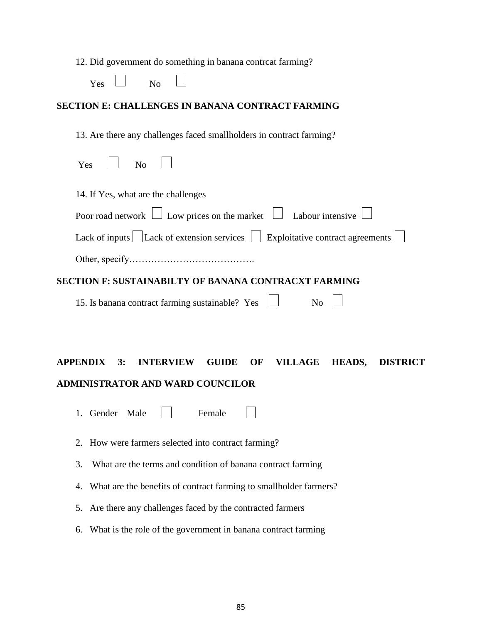|  | 12. Did government do something in banana contreat farming? |  |  |  |
|--|-------------------------------------------------------------|--|--|--|
|  |                                                             |  |  |  |

| Y<br>'es | N٥ |  |
|----------|----|--|
|          |    |  |

# **SECTION E: CHALLENGES IN BANANA CONTRACT FARMING**

13. Are there any challenges faced smallholders in contract farming?

| $Yes$ $ $ No $ $                                                                                |
|-------------------------------------------------------------------------------------------------|
| 14. If Yes, what are the challenges                                                             |
| Poor road network $\Box$ Low prices on the market $\Box$ Labour intensive $\Box$                |
| Lack of inputs $\Box$ Lack of extension services $\Box$ Exploitative contract agreements $\Box$ |
|                                                                                                 |

# **SECTION F: SUSTAINABILTY OF BANANA CONTRACXT FARMING**

| 15. Is banana contract farming sustainable? Yes $\Box$ | No |
|--------------------------------------------------------|----|
|--------------------------------------------------------|----|

# **APPENDIX 3: INTERVIEW GUIDE OF VILLAGE HEADS, DISTRICT ADMINISTRATOR AND WARD COUNCILOR**

- 1. Gender Male | Female
- 2. How were farmers selected into contract farming?
- 3. What are the terms and condition of banana contract farming
- 4. What are the benefits of contract farming to smallholder farmers?
- 5. Are there any challenges faced by the contracted farmers
- 6. What is the role of the government in banana contract farming